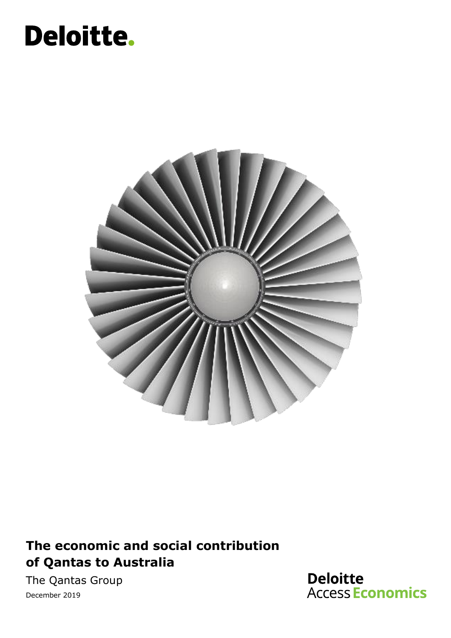# Deloitte.



### **The economic and social contribution of Qantas to Australia**

The Qantas Group December 2019

**Deloitte Access Economics**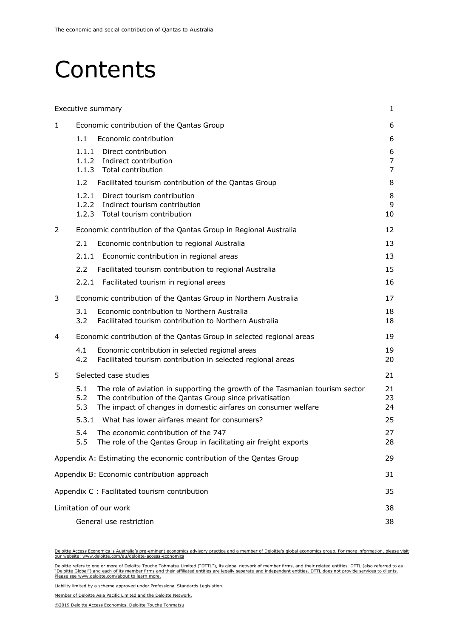### **Contents**

|                                               |                   | Executive summary                                                                                                                                                                                           | 1                        |  |  |
|-----------------------------------------------|-------------------|-------------------------------------------------------------------------------------------------------------------------------------------------------------------------------------------------------------|--------------------------|--|--|
| 1                                             |                   | Economic contribution of the Qantas Group                                                                                                                                                                   | 6                        |  |  |
|                                               | 1.1               | Economic contribution                                                                                                                                                                                       | 6                        |  |  |
|                                               | 1.1.1             | Direct contribution<br>1.1.2 Indirect contribution<br>1.1.3 Total contribution                                                                                                                              | 6<br>$\overline{7}$<br>7 |  |  |
|                                               | 1.2               | Facilitated tourism contribution of the Qantas Group                                                                                                                                                        | 8                        |  |  |
|                                               | 1.2.1             | Direct tourism contribution<br>1.2.2 Indirect tourism contribution<br>1.2.3 Total tourism contribution                                                                                                      | 8<br>9<br>10             |  |  |
| 2                                             |                   | Economic contribution of the Qantas Group in Regional Australia                                                                                                                                             | 12                       |  |  |
|                                               | 2.1               | Economic contribution to regional Australia                                                                                                                                                                 | 13                       |  |  |
|                                               | 2.1.1             | Economic contribution in regional areas                                                                                                                                                                     | 13                       |  |  |
|                                               | 2.2               | Facilitated tourism contribution to regional Australia                                                                                                                                                      | 15                       |  |  |
|                                               | 2.2.1             | Facilitated tourism in regional areas                                                                                                                                                                       | 16                       |  |  |
| 3                                             |                   | Economic contribution of the Qantas Group in Northern Australia                                                                                                                                             | 17                       |  |  |
|                                               | 3.1<br>3.2        | Economic contribution to Northern Australia<br>Facilitated tourism contribution to Northern Australia                                                                                                       | 18<br>18                 |  |  |
| 4                                             |                   | Economic contribution of the Qantas Group in selected regional areas                                                                                                                                        | 19                       |  |  |
|                                               | 4.1<br>4.2        | Economic contribution in selected regional areas<br>Facilitated tourism contribution in selected regional areas                                                                                             | 19<br>20                 |  |  |
| 5                                             |                   | Selected case studies                                                                                                                                                                                       | 21                       |  |  |
|                                               | 5.1<br>5.2<br>5.3 | The role of aviation in supporting the growth of the Tasmanian tourism sector<br>The contribution of the Qantas Group since privatisation<br>The impact of changes in domestic airfares on consumer welfare | 21<br>23<br>24           |  |  |
|                                               | 5.3.1             | What has lower airfares meant for consumers?                                                                                                                                                                | 25                       |  |  |
|                                               | 5.4<br>5.5        | The economic contribution of the 747<br>The role of the Qantas Group in facilitating air freight exports                                                                                                    | 27<br>28                 |  |  |
|                                               |                   | Appendix A: Estimating the economic contribution of the Qantas Group                                                                                                                                        | 29                       |  |  |
| Appendix B: Economic contribution approach    |                   |                                                                                                                                                                                                             |                          |  |  |
| Appendix C : Facilitated tourism contribution |                   |                                                                                                                                                                                                             |                          |  |  |
| Limitation of our work                        |                   |                                                                                                                                                                                                             |                          |  |  |
|                                               |                   | General use restriction                                                                                                                                                                                     | 38                       |  |  |

Deloitte Access Economics is Australia's pre-eminent economics advisory practice and a member of Deloitte's global economics group. For more information, please visit our website: www.deloitte.com/au/deloitte-access-economics

Deloitte refers to one or more of Deloitte Touche Tohmatsu Limited ("DTTL"), its global network of member firms, and their related entities. DTTL (also referred to as<br>"Deloitte Global") and each of its member firms and the

Liability limited by a scheme approved under Professional Standards Legislation.

Member of Deloitte Asia Pacific Limited and the Deloitte Network.

<sup>©2019</sup> Deloitte Access Economics. Deloitte Touche Tohmatsu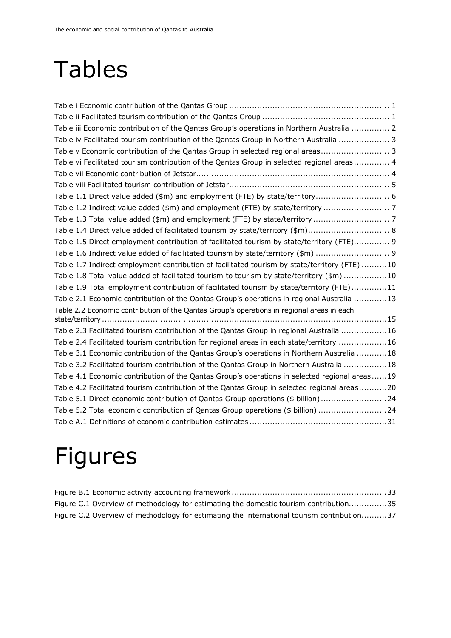# Tables

| Table iii Economic contribution of the Qantas Group's operations in Northern Australia  2     |
|-----------------------------------------------------------------------------------------------|
| Table iv Facilitated tourism contribution of the Qantas Group in Northern Australia  3        |
| Table v Economic contribution of the Qantas Group in selected regional areas 3                |
| Table vi Facilitated tourism contribution of the Qantas Group in selected regional areas 4    |
|                                                                                               |
|                                                                                               |
| Table 1.1 Direct value added (\$m) and employment (FTE) by state/territory 6                  |
| Table 1.2 Indirect value added (\$m) and employment (FTE) by state/territory  7               |
|                                                                                               |
| Table 1.4 Direct value added of facilitated tourism by state/territory (\$m) 8                |
| Table 1.5 Direct employment contribution of facilitated tourism by state/territory (FTE) 9    |
| Table 1.6 Indirect value added of facilitated tourism by state/territory (\$m)  9             |
| Table 1.7 Indirect employment contribution of facilitated tourism by state/territory (FTE) 10 |
| Table 1.8 Total value added of facilitated tourism to tourism by state/territory (\$m) 10     |
| Table 1.9 Total employment contribution of facilitated tourism by state/territory (FTE)11     |
| Table 2.1 Economic contribution of the Qantas Group's operations in regional Australia 13     |
| Table 2.2 Economic contribution of the Qantas Group's operations in regional areas in each    |
|                                                                                               |
| Table 2.3 Facilitated tourism contribution of the Qantas Group in regional Australia 16       |
| Table 2.4 Facilitated tourism contribution for regional areas in each state/territory 16      |
| Table 3.1 Economic contribution of the Qantas Group's operations in Northern Australia 18     |
| Table 3.2 Facilitated tourism contribution of the Qantas Group in Northern Australia  18      |
| Table 4.1 Economic contribution of the Qantas Group's operations in selected regional areas19 |
| Table 4.2 Facilitated tourism contribution of the Qantas Group in selected regional areas20   |
| Table 5.1 Direct economic contribution of Qantas Group operations (\$ billion)24              |
| Table 5.2 Total economic contribution of Qantas Group operations (\$ billion) 24              |
|                                                                                               |

# Figures

|  |  |  | Figure C.1 Overview of methodology for estimating the domestic tourism contribution35      |  |  |  |  |
|--|--|--|--------------------------------------------------------------------------------------------|--|--|--|--|
|  |  |  | Figure C.2 Overview of methodology for estimating the international tourism contribution37 |  |  |  |  |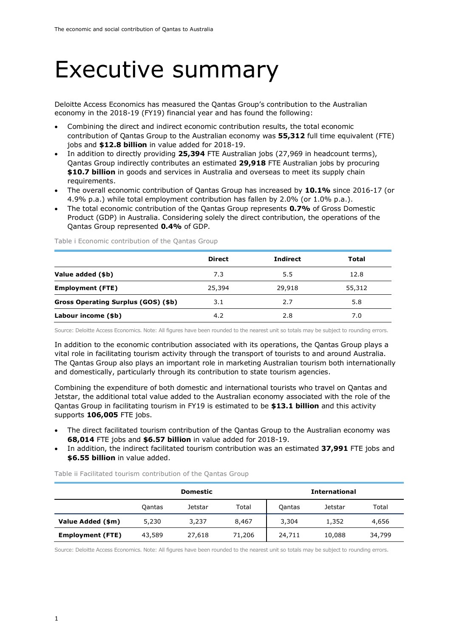### <span id="page-3-0"></span>Executive summary

Deloitte Access Economics has measured the Qantas Group's contribution to the Australian economy in the 2018-19 (FY19) financial year and has found the following:

- Combining the direct and indirect economic contribution results, the total economic contribution of Qantas Group to the Australian economy was **55,312** full time equivalent (FTE) jobs and **\$12.8 billion** in value added for 2018-19.
- In addition to directly providing **25,394** FTE Australian jobs (27,969 in headcount terms), Qantas Group indirectly contributes an estimated **29,918** FTE Australian jobs by procuring **\$10.7 billion** in goods and services in Australia and overseas to meet its supply chain requirements.
- The overall economic contribution of Qantas Group has increased by **10.1%** since 2016-17 (or 4.9% p.a.) while total employment contribution has fallen by 2.0% (or 1.0% p.a.).
- The total economic contribution of the Qantas Group represents **0.7%** of Gross Domestic Product (GDP) in Australia. Considering solely the direct contribution, the operations of the Qantas Group represented **0.4%** of GDP.

|                                     | <b>Direct</b> | <b>Indirect</b> | Total  |
|-------------------------------------|---------------|-----------------|--------|
| Value added (\$b)                   | 7.3           | 5.5             | 12.8   |
| <b>Employment (FTE)</b>             | 25,394        | 29,918          | 55,312 |
| Gross Operating Surplus (GOS) (\$b) | 3.1           | 2.7             | 5.8    |
| Labour income (\$b)                 | 4.2           | 2.8             | 7.0    |

<span id="page-3-1"></span>Table i Economic contribution of the Qantas Group

Source: Deloitte Access Economics. Note: All figures have been rounded to the nearest unit so totals may be subject to rounding errors.

In addition to the economic contribution associated with its operations, the Qantas Group plays a vital role in facilitating tourism activity through the transport of tourists to and around Australia. The Qantas Group also plays an important role in marketing Australian tourism both internationally and domestically, particularly through its contribution to state tourism agencies.

Combining the expenditure of both domestic and international tourists who travel on Qantas and Jetstar, the additional total value added to the Australian economy associated with the role of the Qantas Group in facilitating tourism in FY19 is estimated to be **\$13.1 billion** and this activity supports **106,005** FTE jobs.

- The direct facilitated tourism contribution of the Qantas Group to the Australian economy was **68,014** FTE jobs and **\$6.57 billion** in value added for 2018-19.
- In addition, the indirect facilitated tourism contribution was an estimated **37,991** FTE jobs and **\$6.55 billion** in value added.

<span id="page-3-2"></span>Table ii Facilitated tourism contribution of the Qantas Group

|                         |        | Domestic       |        | <b>International</b> |         |        |  |
|-------------------------|--------|----------------|--------|----------------------|---------|--------|--|
|                         | Qantas | <b>Jetstar</b> | Total  | Qantas               | Jetstar | Total  |  |
| Value Added (\$m)       | 5,230  | 3,237          | 8,467  | 3,304                | 1,352   | 4,656  |  |
| <b>Employment (FTE)</b> | 43,589 | 27,618         | 71,206 | 24,711               | 10,088  | 34,799 |  |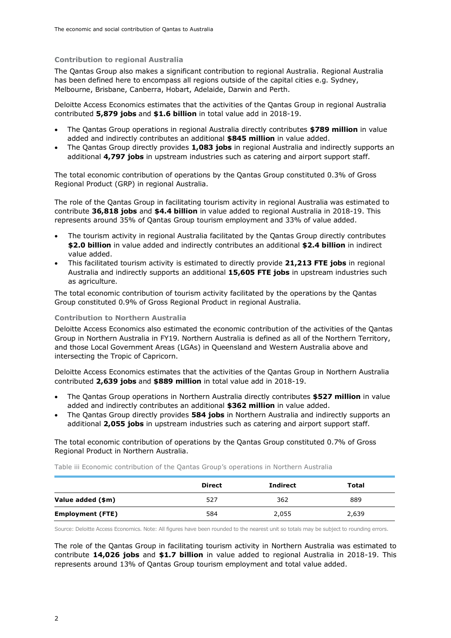#### **Contribution to regional Australia**

The Qantas Group also makes a significant contribution to regional Australia. Regional Australia has been defined here to encompass all regions outside of the capital cities e.g. Sydney, Melbourne, Brisbane, Canberra, Hobart, Adelaide, Darwin and Perth.

Deloitte Access Economics estimates that the activities of the Qantas Group in regional Australia contributed **5,879 jobs** and **\$1.6 billion** in total value add in 2018-19.

- The Qantas Group operations in regional Australia directly contributes **\$789 million** in value added and indirectly contributes an additional **\$845 million** in value added.
- The Qantas Group directly provides **1,083 jobs** in regional Australia and indirectly supports an additional **4,797 jobs** in upstream industries such as catering and airport support staff.

The total economic contribution of operations by the Qantas Group constituted 0.3% of Gross Regional Product (GRP) in regional Australia.

The role of the Qantas Group in facilitating tourism activity in regional Australia was estimated to contribute **36,818 jobs** and **\$4.4 billion** in value added to regional Australia in 2018-19. This represents around 35% of Qantas Group tourism employment and 33% of value added.

- The tourism activity in regional Australia facilitated by the Qantas Group directly contributes **\$2.0 billion** in value added and indirectly contributes an additional **\$2.4 billion** in indirect value added.
- This facilitated tourism activity is estimated to directly provide **21,213 FTE jobs** in regional Australia and indirectly supports an additional **15,605 FTE jobs** in upstream industries such as agriculture.

The total economic contribution of tourism activity facilitated by the operations by the Qantas Group constituted 0.9% of Gross Regional Product in regional Australia.

#### **Contribution to Northern Australia**

Deloitte Access Economics also estimated the economic contribution of the activities of the Qantas Group in Northern Australia in FY19. Northern Australia is defined as all of the Northern Territory, and those Local Government Areas (LGAs) in Queensland and Western Australia above and intersecting the Tropic of Capricorn.

Deloitte Access Economics estimates that the activities of the Qantas Group in Northern Australia contributed **2,639 jobs** and **\$889 million** in total value add in 2018-19.

- The Qantas Group operations in Northern Australia directly contributes **\$527 million** in value added and indirectly contributes an additional **\$362 million** in value added.
- The Qantas Group directly provides **584 jobs** in Northern Australia and indirectly supports an additional **2,055 jobs** in upstream industries such as catering and airport support staff.

The total economic contribution of operations by the Qantas Group constituted 0.7% of Gross Regional Product in Northern Australia.

<span id="page-4-0"></span>Table iii Economic contribution of the Qantas Group's operations in Northern Australia

|                         | <b>Direct</b> | Indirect | Total |
|-------------------------|---------------|----------|-------|
| Value added (\$m)       | 527           | 362      | 889   |
| <b>Employment (FTE)</b> | 584           | 2,055    | 2,639 |

Source: Deloitte Access Economics. Note: All figures have been rounded to the nearest unit so totals may be subject to rounding errors.

The role of the Qantas Group in facilitating tourism activity in Northern Australia was estimated to contribute **14,026 jobs** and **\$1.7 billion** in value added to regional Australia in 2018-19. This represents around 13% of Qantas Group tourism employment and total value added.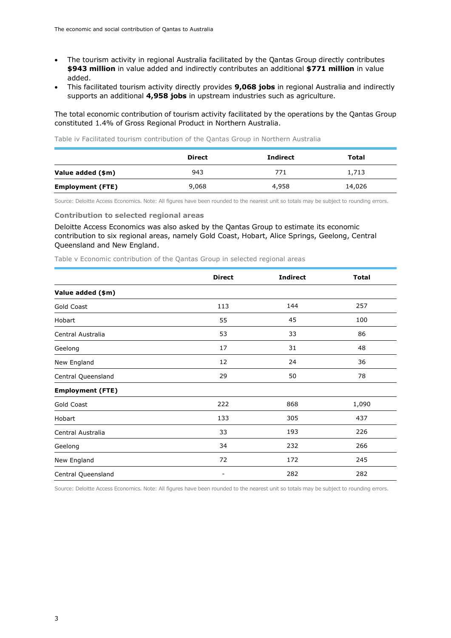- The tourism activity in regional Australia facilitated by the Qantas Group directly contributes **\$943 million** in value added and indirectly contributes an additional **\$771 million** in value added.
- This facilitated tourism activity directly provides **9,068 jobs** in regional Australia and indirectly supports an additional **4,958 jobs** in upstream industries such as agriculture.

The total economic contribution of tourism activity facilitated by the operations by the Qantas Group constituted 1.4% of Gross Regional Product in Northern Australia.

<span id="page-5-0"></span>Table iv Facilitated tourism contribution of the Qantas Group in Northern Australia

|                         | <b>Direct</b> | <b>Indirect</b> | Total  |
|-------------------------|---------------|-----------------|--------|
| Value added (\$m)       | 943           | 771             | 1,713  |
| <b>Employment (FTE)</b> | 9,068         | 4,958           | 14,026 |

Source: Deloitte Access Economics. Note: All figures have been rounded to the nearest unit so totals may be subject to rounding errors.

#### **Contribution to selected regional areas**

Deloitte Access Economics was also asked by the Qantas Group to estimate its economic contribution to six regional areas, namely Gold Coast, Hobart, Alice Springs, Geelong, Central Queensland and New England.

<span id="page-5-1"></span>Table v Economic contribution of the Qantas Group in selected regional areas

|                         | <b>Direct</b>                | <b>Indirect</b> | <b>Total</b> |
|-------------------------|------------------------------|-----------------|--------------|
| Value added (\$m)       |                              |                 |              |
| Gold Coast              | 113                          | 144             | 257          |
| Hobart                  | 55                           | 45              | 100          |
| Central Australia       | 53                           | 33              | 86           |
| Geelong                 | 17                           | 31              | 48           |
| New England             | 12                           | 24              | 36           |
| Central Queensland      | 29                           | 50              | 78           |
| <b>Employment (FTE)</b> |                              |                 |              |
| Gold Coast              | 222                          | 868             | 1,090        |
| Hobart                  | 133                          | 305             | 437          |
| Central Australia       | 33                           | 193             | 226          |
| Geelong                 | 34                           | 232             | 266          |
| New England             | 72                           | 172             | 245          |
| Central Queensland      | $\qquad \qquad \blacksquare$ | 282             | 282          |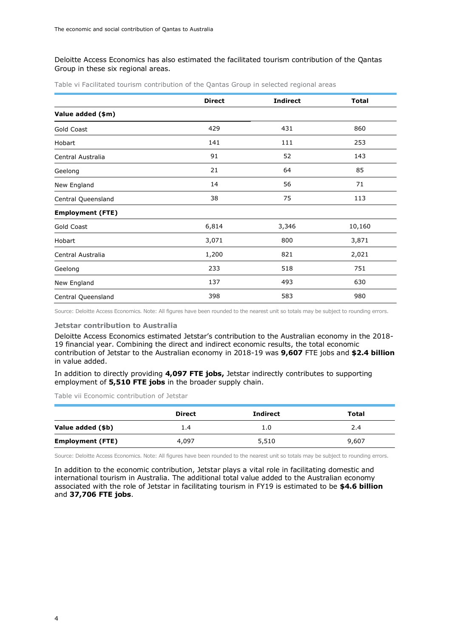#### Deloitte Access Economics has also estimated the facilitated tourism contribution of the Qantas Group in these six regional areas.

|                         | <b>Direct</b> | <b>Indirect</b> | <b>Total</b> |
|-------------------------|---------------|-----------------|--------------|
| Value added (\$m)       |               |                 |              |
| Gold Coast              | 429           | 431             | 860          |
| Hobart                  | 141           | 111             | 253          |
| Central Australia       | 91            | 52              | 143          |
| Geelong                 | 21            | 64              | 85           |
| New England             | 14            | 56              | 71           |
| Central Queensland      | 38            | 75              | 113          |
| <b>Employment (FTE)</b> |               |                 |              |
| Gold Coast              | 6,814         | 3,346           | 10,160       |
| Hobart                  | 3,071         | 800             | 3,871        |
| Central Australia       | 1,200         | 821             | 2,021        |
| Geelong                 | 233           | 518             | 751          |
| New England             | 137           | 493             | 630          |
| Central Queensland      | 398           | 583             | 980          |

<span id="page-6-0"></span>Table vi Facilitated tourism contribution of the Qantas Group in selected regional areas

Source: Deloitte Access Economics. Note: All figures have been rounded to the nearest unit so totals may be subject to rounding errors.

#### **Jetstar contribution to Australia**

Deloitte Access Economics estimated Jetstar's contribution to the Australian economy in the 2018- 19 financial year. Combining the direct and indirect economic results, the total economic contribution of Jetstar to the Australian economy in 2018-19 was **9,607** FTE jobs and **\$2.4 billion** in value added.

In addition to directly providing **4,097 FTE jobs,** Jetstar indirectly contributes to supporting employment of **5,510 FTE jobs** in the broader supply chain.

<span id="page-6-1"></span>Table vii Economic contribution of Jetstar

|                         | <b>Direct</b> | <b>Indirect</b> | Total |
|-------------------------|---------------|-----------------|-------|
| Value added (\$b)       | 1.4           | 1.0             | 2.4   |
| <b>Employment (FTE)</b> | 4,097         | 5,510           | 9,607 |

Source: Deloitte Access Economics. Note: All figures have been rounded to the nearest unit so totals may be subject to rounding errors.

In addition to the economic contribution, Jetstar plays a vital role in facilitating domestic and international tourism in Australia. The additional total value added to the Australian economy associated with the role of Jetstar in facilitating tourism in FY19 is estimated to be **\$4.6 billion** and **37,706 FTE jobs**.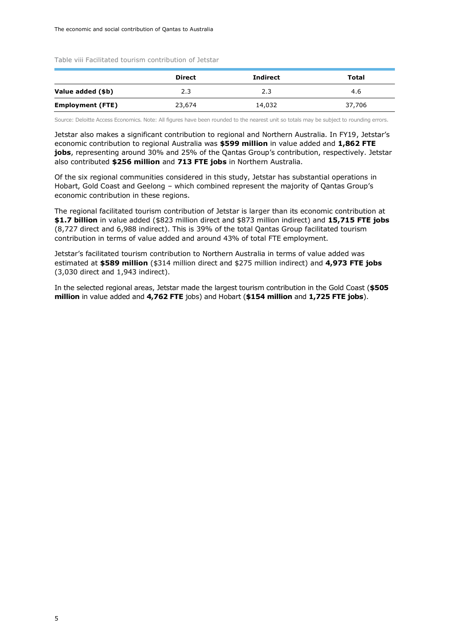<span id="page-7-0"></span>Table viii Facilitated tourism contribution of Jetstar

|                         | <b>Direct</b> | <b>Indirect</b> | Total  |
|-------------------------|---------------|-----------------|--------|
| Value added (\$b)       | 2.3           | 2.3             | 4.6    |
| <b>Employment (FTE)</b> | 23,674        | 14,032          | 37,706 |

Source: Deloitte Access Economics. Note: All figures have been rounded to the nearest unit so totals may be subject to rounding errors.

Jetstar also makes a significant contribution to regional and Northern Australia. In FY19, Jetstar's economic contribution to regional Australia was **\$599 million** in value added and **1,862 FTE jobs**, representing around 30% and 25% of the Qantas Group's contribution, respectively. Jetstar also contributed **\$256 million** and **713 FTE jobs** in Northern Australia.

Of the six regional communities considered in this study, Jetstar has substantial operations in Hobart, Gold Coast and Geelong – which combined represent the majority of Qantas Group's economic contribution in these regions.

The regional facilitated tourism contribution of Jetstar is larger than its economic contribution at **\$1.7 billion** in value added (\$823 million direct and \$873 million indirect) and **15,715 FTE jobs** (8,727 direct and 6,988 indirect). This is 39% of the total Qantas Group facilitated tourism contribution in terms of value added and around 43% of total FTE employment.

Jetstar's facilitated tourism contribution to Northern Australia in terms of value added was estimated at **\$589 million** (\$314 million direct and \$275 million indirect) and **4,973 FTE jobs**  (3,030 direct and 1,943 indirect).

In the selected regional areas, Jetstar made the largest tourism contribution in the Gold Coast (**\$505 million** in value added and **4,762 FTE** jobs) and Hobart (**\$154 million** and **1,725 FTE jobs**).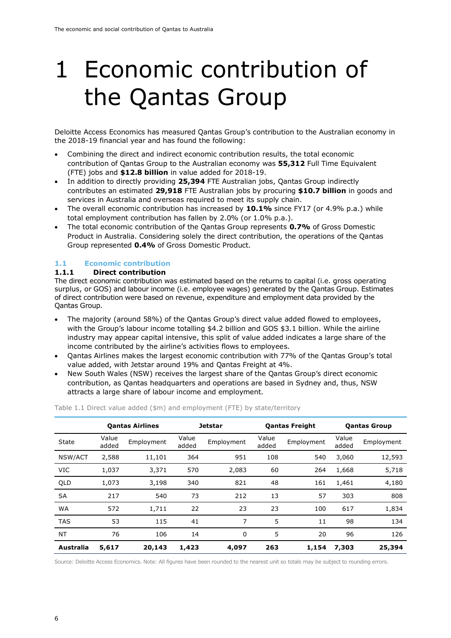# <span id="page-8-0"></span>1 Economic contribution of the Qantas Group

Deloitte Access Economics has measured Qantas Group's contribution to the Australian economy in the 2018-19 financial year and has found the following:

- Combining the direct and indirect economic contribution results, the total economic contribution of Qantas Group to the Australian economy was **55,312** Full Time Equivalent (FTE) jobs and **\$12.8 billion** in value added for 2018-19.
- In addition to directly providing **25,394** FTE Australian jobs, Qantas Group indirectly contributes an estimated **29,918** FTE Australian jobs by procuring **\$10.7 billion** in goods and services in Australia and overseas required to meet its supply chain.
- The overall economic contribution has increased by **10.1%** since FY17 (or 4.9% p.a.) while total employment contribution has fallen by 2.0% (or 1.0% p.a.).
- The total economic contribution of the Qantas Group represents **0.7%** of Gross Domestic Product in Australia. Considering solely the direct contribution, the operations of the Qantas Group represented **0.4%** of Gross Domestic Product.

### <span id="page-8-1"></span>**1.1 Economic contribution**

#### <span id="page-8-2"></span>**1.1.1 Direct contribution**

The direct economic contribution was estimated based on the returns to capital (i.e. gross operating surplus, or GOS) and labour income (i.e. employee wages) generated by the Qantas Group. Estimates of direct contribution were based on revenue, expenditure and employment data provided by the Qantas Group.

- The majority (around 58%) of the Qantas Group's direct value added flowed to employees, with the Group's labour income totalling \$4.2 billion and GOS \$3.1 billion. While the airline industry may appear capital intensive, this split of value added indicates a large share of the income contributed by the airline's activities flows to employees.
- Qantas Airlines makes the largest economic contribution with 77% of the Qantas Group's total value added, with Jetstar around 19% and Qantas Freight at 4%.
- New South Wales (NSW) receives the largest share of the Qantas Group's direct economic contribution, as Qantas headquarters and operations are based in Sydney and, thus, NSW attracts a large share of labour income and employment.

|            | <b>Qantas Airlines</b> |            | <b>Jetstar</b> |            | <b>Qantas Freight</b> |            | <b>Qantas Group</b> |            |
|------------|------------------------|------------|----------------|------------|-----------------------|------------|---------------------|------------|
| State      | Value<br>added         | Employment | Value<br>added | Employment | Value<br>added        | Employment | Value<br>added      | Employment |
| NSW/ACT    | 2,588                  | 11,101     | 364            | 951        | 108                   | 540        | 3,060               | 12,593     |
| <b>VIC</b> | 1,037                  | 3,371      | 570            | 2,083      | 60                    | 264        | 1,668               | 5,718      |
| QLD        | 1,073                  | 3,198      | 340            | 821        | 48                    | 161        | 1,461               | 4,180      |
| <b>SA</b>  | 217                    | 540        | 73             | 212        | 13                    | 57         | 303                 | 808        |
| <b>WA</b>  | 572                    | 1,711      | 22             | 23         | 23                    | 100        | 617                 | 1,834      |
| <b>TAS</b> | 53                     | 115        | 41             | 7          | 5                     | 11         | 98                  | 134        |
| <b>NT</b>  | 76                     | 106        | 14             | 0          | 5                     | 20         | 96                  | 126        |
| Australia  | 5,617                  | 20,143     | 1,423          | 4,097      | 263                   | 1,154      | 7,303               | 25,394     |

<span id="page-8-3"></span>Table 1.1 Direct value added (\$m) and employment (FTE) by state/territory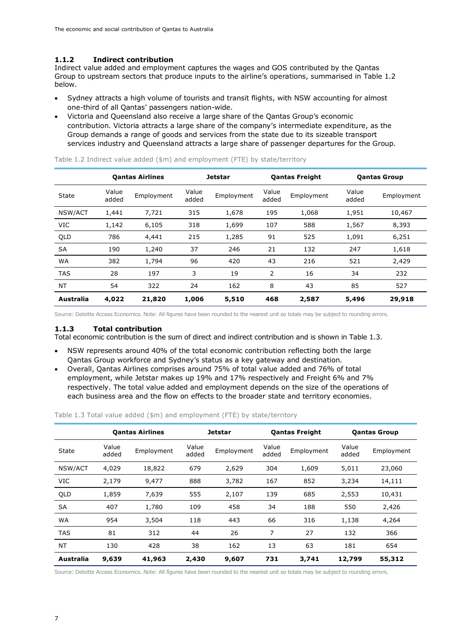### <span id="page-9-0"></span>**1.1.2 Indirect contribution**

Indirect value added and employment captures the wages and GOS contributed by the Qantas Group to upstream sectors that produce inputs to the airline's operations, summarised in [Table 1.2](#page-9-2) below.

- Sydney attracts a high volume of tourists and transit flights, with NSW accounting for almost one-third of all Qantas' passengers nation-wide.
- Victoria and Queensland also receive a large share of the Qantas Group's economic contribution. Victoria attracts a large share of the company's intermediate expenditure, as the Group demands a range of goods and services from the state due to its sizeable transport services industry and Queensland attracts a large share of passenger departures for the Group.

|            |                | <b>Qantas Airlines</b> |                | <b>Jetstar</b> |                | <b>Qantas Freight</b> |                | <b>Qantas Group</b> |
|------------|----------------|------------------------|----------------|----------------|----------------|-----------------------|----------------|---------------------|
| State      | Value<br>added | Employment             | Value<br>added | Employment     | Value<br>added | Employment            | Value<br>added | Employment          |
| NSW/ACT    | 1,441          | 7,721                  | 315            | 1,678          | 195            | 1,068                 | 1,951          | 10,467              |
| VIC        | 1,142          | 6,105                  | 318            | 1,699          | 107            | 588                   | 1,567          | 8,393               |
| QLD        | 786            | 4,441                  | 215            | 1,285          | 91             | 525                   | 1,091          | 6,251               |
| <b>SA</b>  | 190            | 1,240                  | 37             | 246            | 21             | 132                   | 247            | 1,618               |
| <b>WA</b>  | 382            | 1,794                  | 96             | 420            | 43             | 216                   | 521            | 2,429               |
| <b>TAS</b> | 28             | 197                    | 3              | 19             | 2              | 16                    | 34             | 232                 |
| <b>NT</b>  | 54             | 322                    | 24             | 162            | 8              | 43                    | 85             | 527                 |
| Australia  | 4,022          | 21,820                 | 1,006          | 5,510          | 468            | 2,587                 | 5,496          | 29,918              |

<span id="page-9-2"></span>Table 1.2 Indirect value added (\$m) and employment (FTE) by state/territory

Source: Deloitte Access Economics. Note: All figures have been rounded to the nearest unit so totals may be subject to rounding errors.

#### <span id="page-9-1"></span>**1.1.3 Total contribution**

Total economic contribution is the sum of direct and indirect contribution and is shown in [Table 1.3.](#page-9-3)

- NSW represents around 40% of the total economic contribution reflecting both the large Qantas Group workforce and Sydney's status as a key gateway and destination.
- Overall, Qantas Airlines comprises around 75% of total value added and 76% of total employment, while Jetstar makes up 19% and 17% respectively and Freight 6% and 7% respectively. The total value added and employment depends on the size of the operations of each business area and the flow on effects to the broader state and territory economies.

<span id="page-9-3"></span>

| Table 1.3 Total value added (\$m) and employment (FTE) by state/territory |  |  |  |  |
|---------------------------------------------------------------------------|--|--|--|--|
|---------------------------------------------------------------------------|--|--|--|--|

|            |                | <b>Qantas Airlines</b> |                | <b>Jetstar</b> | <b>Qantas Freight</b> |            |                | <b>Qantas Group</b> |
|------------|----------------|------------------------|----------------|----------------|-----------------------|------------|----------------|---------------------|
| State      | Value<br>added | Employment             | Value<br>added | Employment     | Value<br>added        | Employment | Value<br>added | Employment          |
| NSW/ACT    | 4,029          | 18,822                 | 679            | 2,629          | 304                   | 1,609      | 5,011          | 23,060              |
| VIC        | 2,179          | 9,477                  | 888            | 3,782          | 167                   | 852        | 3,234          | 14,111              |
| QLD        | 1,859          | 7,639                  | 555            | 2,107          | 139                   | 685        | 2,553          | 10,431              |
| <b>SA</b>  | 407            | 1,780                  | 109            | 458            | 34                    | 188        | 550            | 2,426               |
| <b>WA</b>  | 954            | 3,504                  | 118            | 443            | 66                    | 316        | 1,138          | 4,264               |
| <b>TAS</b> | 81             | 312                    | 44             | 26             | 7                     | 27         | 132            | 366                 |
| <b>NT</b>  | 130            | 428                    | 38             | 162            | 13                    | 63         | 181            | 654                 |
| Australia  | 9,639          | 41,963                 | 2,430          | 9,607          | 731                   | 3,741      | 12,799         | 55,312              |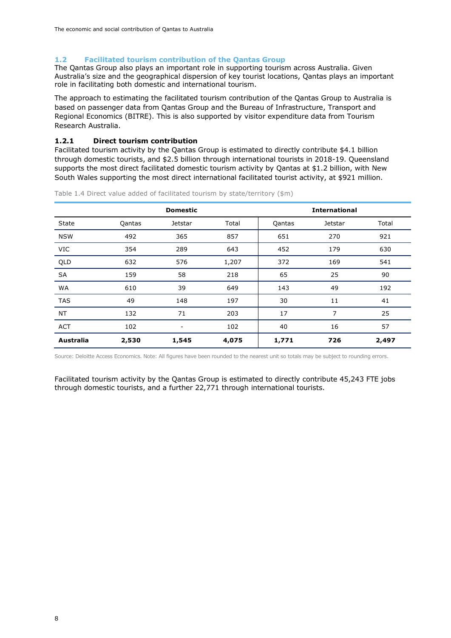#### <span id="page-10-0"></span>**1.2 Facilitated tourism contribution of the Qantas Group**

The Qantas Group also plays an important role in supporting tourism across Australia. Given Australia's size and the geographical dispersion of key tourist locations, Qantas plays an important role in facilitating both domestic and international tourism.

The approach to estimating the facilitated tourism contribution of the Qantas Group to Australia is based on passenger data from Qantas Group and the Bureau of Infrastructure, Transport and Regional Economics (BITRE). This is also supported by visitor expenditure data from Tourism Research Australia.

#### <span id="page-10-1"></span>**1.2.1 Direct tourism contribution**

Facilitated tourism activity by the Qantas Group is estimated to directly contribute \$4.1 billion through domestic tourists, and \$2.5 billion through international tourists in 2018-19. Queensland supports the most direct facilitated domestic tourism activity by Qantas at \$1.2 billion, with New South Wales supporting the most direct international facilitated tourist activity, at \$921 million.

|            |        | <b>Domestic</b>          |       |        | <b>International</b> |       |
|------------|--------|--------------------------|-------|--------|----------------------|-------|
| State      | Qantas | Jetstar                  | Total | Qantas | Jetstar              | Total |
| <b>NSW</b> | 492    | 365                      | 857   | 651    | 270                  | 921   |
| VIC        | 354    | 289                      | 643   | 452    | 179                  | 630   |
| QLD        | 632    | 576                      | 1,207 | 372    | 169                  | 541   |
| SA         | 159    | 58                       | 218   | 65     | 25                   | 90    |
| <b>WA</b>  | 610    | 39                       | 649   | 143    | 49                   | 192   |
| <b>TAS</b> | 49     | 148                      | 197   | 30     | 11                   | 41    |
| <b>NT</b>  | 132    | 71                       | 203   | 17     | 7                    | 25    |
| <b>ACT</b> | 102    | $\overline{\phantom{a}}$ | 102   | 40     | 16                   | 57    |
| Australia  | 2,530  | 1,545                    | 4,075 | 1,771  | 726                  | 2,497 |

<span id="page-10-2"></span>Table 1.4 Direct value added of facilitated tourism by state/territory (\$m)

Source: Deloitte Access Economics. Note: All figures have been rounded to the nearest unit so totals may be subject to rounding errors.

Facilitated tourism activity by the Qantas Group is estimated to directly contribute 45,243 FTE jobs through domestic tourists, and a further 22,771 through international tourists.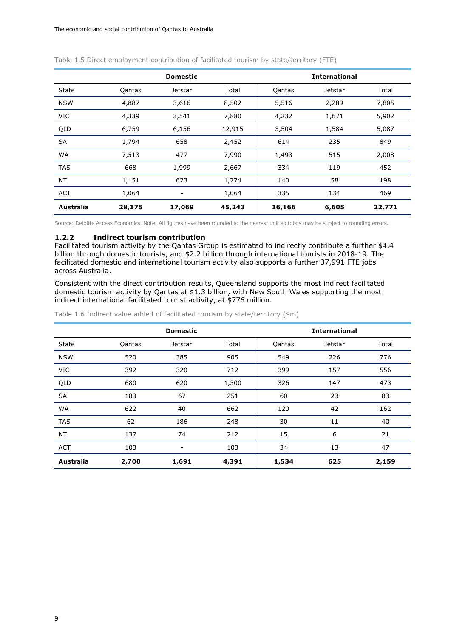|            | <b>Domestic</b> |         |        |        | <b>International</b> |        |  |
|------------|-----------------|---------|--------|--------|----------------------|--------|--|
| State      | Qantas          | Jetstar | Total  | Qantas | Jetstar              | Total  |  |
| <b>NSW</b> | 4,887           | 3,616   | 8,502  | 5,516  | 2,289                | 7,805  |  |
| <b>VIC</b> | 4,339           | 3,541   | 7,880  | 4,232  | 1,671                | 5,902  |  |
| QLD        | 6,759           | 6,156   | 12,915 | 3,504  | 1,584                | 5,087  |  |
| SA         | 1,794           | 658     | 2,452  | 614    | 235                  | 849    |  |
| WA         | 7,513           | 477     | 7,990  | 1,493  | 515                  | 2,008  |  |
| <b>TAS</b> | 668             | 1,999   | 2,667  | 334    | 119                  | 452    |  |
| NT         | 1,151           | 623     | 1,774  | 140    | 58                   | 198    |  |
| <b>ACT</b> | 1,064           |         | 1,064  | 335    | 134                  | 469    |  |
| Australia  | 28,175          | 17,069  | 45,243 | 16,166 | 6,605                | 22,771 |  |

<span id="page-11-1"></span>Table 1.5 Direct employment contribution of facilitated tourism by state/territory (FTE)

Source: Deloitte Access Economics. Note: All figures have been rounded to the nearest unit so totals may be subject to rounding errors.

#### <span id="page-11-0"></span>**1.2.2 Indirect tourism contribution**

Facilitated tourism activity by the Qantas Group is estimated to indirectly contribute a further \$4.4 billion through domestic tourists, and \$2.2 billion through international tourists in 2018-19. The facilitated domestic and international tourism activity also supports a further 37,991 FTE jobs across Australia.

Consistent with the direct contribution results, Queensland supports the most indirect facilitated domestic tourism activity by Qantas at \$1.3 billion, with New South Wales supporting the most indirect international facilitated tourist activity, at \$776 million.

<span id="page-11-2"></span>Table 1.6 Indirect value added of facilitated tourism by state/territory (\$m)

|                  |        | <b>Domestic</b>          |       |        | <b>International</b> |       |
|------------------|--------|--------------------------|-------|--------|----------------------|-------|
| State            | Qantas | Jetstar                  | Total | Qantas | <b>Jetstar</b>       | Total |
| <b>NSW</b>       | 520    | 385                      | 905   | 549    | 226                  | 776   |
| <b>VIC</b>       | 392    | 320                      | 712   | 399    | 157                  | 556   |
| QLD              | 680    | 620                      | 1,300 | 326    | 147                  | 473   |
| SA               | 183    | 67                       | 251   | 60     | 23                   | 83    |
| WA               | 622    | 40                       | 662   | 120    | 42                   | 162   |
| <b>TAS</b>       | 62     | 186                      | 248   | 30     | 11                   | 40    |
| <b>NT</b>        | 137    | 74                       | 212   | 15     | 6                    | 21    |
| <b>ACT</b>       | 103    | $\overline{\phantom{a}}$ | 103   | 34     | 13                   | 47    |
| <b>Australia</b> | 2,700  | 1,691                    | 4,391 | 1,534  | 625                  | 2,159 |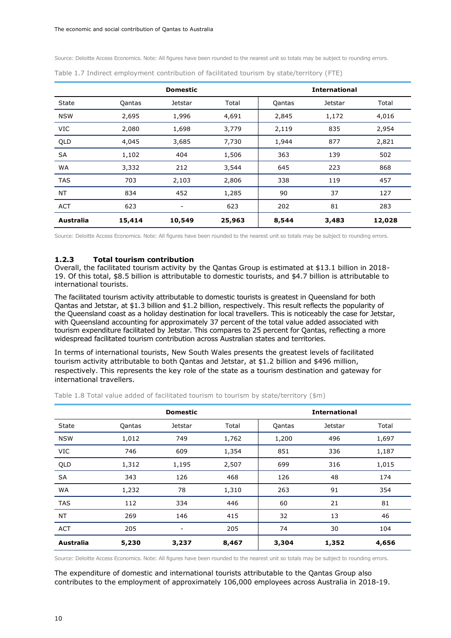Source: Deloitte Access Economics. Note: All figures have been rounded to the nearest unit so totals may be subject to rounding errors.

|            |        | <b>Domestic</b>          |        |        | <b>International</b> |        |
|------------|--------|--------------------------|--------|--------|----------------------|--------|
| State      | Qantas | Jetstar                  | Total  | Qantas | Jetstar              | Total  |
| <b>NSW</b> | 2,695  | 1,996                    | 4,691  | 2,845  | 1,172                | 4,016  |
| <b>VIC</b> | 2,080  | 1,698                    | 3,779  | 2,119  | 835                  | 2,954  |
| QLD        | 4,045  | 3,685                    | 7,730  | 1,944  | 877                  | 2,821  |
| SA         | 1,102  | 404                      | 1,506  | 363    | 139                  | 502    |
| <b>WA</b>  | 3,332  | 212                      | 3,544  | 645    | 223                  | 868    |
| <b>TAS</b> | 703    | 2,103                    | 2,806  | 338    | 119                  | 457    |
| <b>NT</b>  | 834    | 452                      | 1,285  | 90     | 37                   | 127    |
| <b>ACT</b> | 623    | $\overline{\phantom{a}}$ | 623    | 202    | 81                   | 283    |
| Australia  | 15,414 | 10,549                   | 25,963 | 8,544  | 3,483                | 12,028 |

<span id="page-12-1"></span>Table 1.7 Indirect employment contribution of facilitated tourism by state/territory (FTE)

Source: Deloitte Access Economics. Note: All figures have been rounded to the nearest unit so totals may be subject to rounding errors.

#### <span id="page-12-0"></span>**1.2.3 Total tourism contribution**

Overall, the facilitated tourism activity by the Qantas Group is estimated at \$13.1 billion in 2018- 19. Of this total, \$8.5 billion is attributable to domestic tourists, and \$4.7 billion is attributable to international tourists.

The facilitated tourism activity attributable to domestic tourists is greatest in Queensland for both Qantas and Jetstar, at \$1.3 billion and \$1.2 billion, respectively. This result reflects the popularity of the Queensland coast as a holiday destination for local travellers. This is noticeably the case for Jetstar, with Queensland accounting for approximately 37 percent of the total value added associated with tourism expenditure facilitated by Jetstar. This compares to 25 percent for Qantas, reflecting a more widespread facilitated tourism contribution across Australian states and territories.

In terms of international tourists, New South Wales presents the greatest levels of facilitated tourism activity attributable to both Qantas and Jetstar, at \$1.2 billion and \$496 million, respectively. This represents the key role of the state as a tourism destination and gateway for international travellers.

|                  |        | <b>Domestic</b> |       |        | <b>International</b> |       |
|------------------|--------|-----------------|-------|--------|----------------------|-------|
| State            | Qantas | Jetstar         | Total | Qantas | <b>Jetstar</b>       | Total |
| <b>NSW</b>       | 1,012  | 749             | 1,762 | 1,200  | 496                  | 1,697 |
| VIC              | 746    | 609             | 1,354 | 851    | 336                  | 1,187 |
| QLD              | 1,312  | 1,195           | 2,507 | 699    | 316                  | 1,015 |
| SA               | 343    | 126             | 468   | 126    | 48                   | 174   |
| WA               | 1,232  | 78              | 1,310 | 263    | 91                   | 354   |
| TAS              | 112    | 334             | 446   | 60     | 21                   | 81    |
| <b>NT</b>        | 269    | 146             | 415   | 32     | 13                   | 46    |
| <b>ACT</b>       | 205    |                 | 205   | 74     | 30                   | 104   |
| <b>Australia</b> | 5,230  | 3,237           | 8,467 | 3,304  | 1,352                | 4,656 |

<span id="page-12-2"></span>Table 1.8 Total value added of facilitated tourism to tourism by state/territory (\$m)

Source: Deloitte Access Economics. Note: All figures have been rounded to the nearest unit so totals may be subject to rounding errors.

The expenditure of domestic and international tourists attributable to the Qantas Group also contributes to the employment of approximately 106,000 employees across Australia in 2018-19.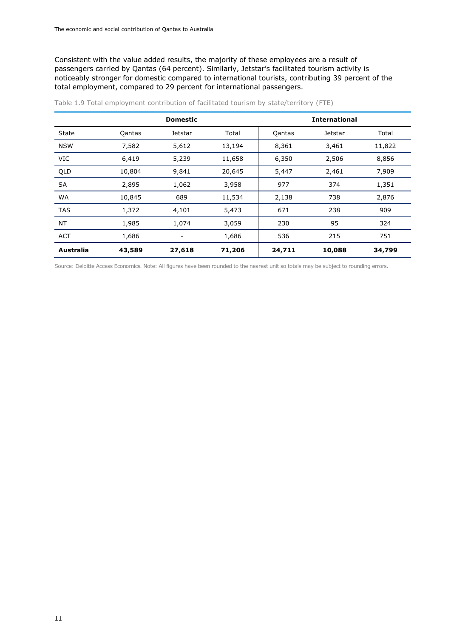Consistent with the value added results, the majority of these employees are a result of passengers carried by Qantas (64 percent). Similarly, Jetstar's facilitated tourism activity is noticeably stronger for domestic compared to international tourists, contributing 39 percent of the total employment, compared to 29 percent for international passengers.

|                  |        | <b>Domestic</b> |        |        | <b>International</b> |        |
|------------------|--------|-----------------|--------|--------|----------------------|--------|
| State            | Qantas | Jetstar         | Total  | Qantas | Jetstar              | Total  |
| <b>NSW</b>       | 7,582  | 5,612           | 13,194 | 8,361  | 3,461                | 11,822 |
| VIC              | 6,419  | 5,239           | 11,658 | 6,350  | 2,506                | 8,856  |
| QLD              | 10,804 | 9,841           | 20,645 | 5,447  | 2,461                | 7,909  |
| SA               | 2,895  | 1,062           | 3,958  | 977    | 374                  | 1,351  |
| WA               | 10,845 | 689             | 11,534 | 2,138  | 738                  | 2,876  |
| <b>TAS</b>       | 1,372  | 4,101           | 5,473  | 671    | 238                  | 909    |
| NT               | 1,985  | 1,074           | 3,059  | 230    | 95                   | 324    |
| <b>ACT</b>       | 1,686  |                 | 1,686  | 536    | 215                  | 751    |
| <b>Australia</b> | 43,589 | 27,618          | 71,206 | 24,711 | 10,088               | 34,799 |

<span id="page-13-0"></span>Table 1.9 Total employment contribution of facilitated tourism by state/territory (FTE)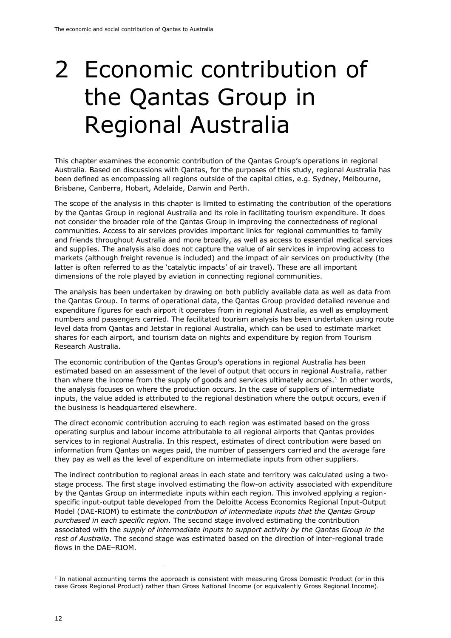# <span id="page-14-0"></span>2 Economic contribution of the Qantas Group in Regional Australia

This chapter examines the economic contribution of the Qantas Group's operations in regional Australia. Based on discussions with Qantas, for the purposes of this study, regional Australia has been defined as encompassing all regions outside of the capital cities, e.g. Sydney, Melbourne, Brisbane, Canberra, Hobart, Adelaide, Darwin and Perth.

The scope of the analysis in this chapter is limited to estimating the contribution of the operations by the Qantas Group in regional Australia and its role in facilitating tourism expenditure. It does not consider the broader role of the Qantas Group in improving the connectedness of regional communities. Access to air services provides important links for regional communities to family and friends throughout Australia and more broadly, as well as access to essential medical services and supplies. The analysis also does not capture the value of air services in improving access to markets (although freight revenue is included) and the impact of air services on productivity (the latter is often referred to as the 'catalytic impacts' of air travel). These are all important dimensions of the role played by aviation in connecting regional communities.

The analysis has been undertaken by drawing on both publicly available data as well as data from the Qantas Group. In terms of operational data, the Qantas Group provided detailed revenue and expenditure figures for each airport it operates from in regional Australia, as well as employment numbers and passengers carried. The facilitated tourism analysis has been undertaken using route level data from Qantas and Jetstar in regional Australia, which can be used to estimate market shares for each airport, and tourism data on nights and expenditure by region from Tourism Research Australia.

The economic contribution of the Qantas Group's operations in regional Australia has been estimated based on an assessment of the level of output that occurs in regional Australia, rather than where the income from the supply of goods and services ultimately accrues.<sup>1</sup> In other words, the analysis focuses on where the production occurs. In the case of suppliers of intermediate inputs, the value added is attributed to the regional destination where the output occurs, even if the business is headquartered elsewhere.

The direct economic contribution accruing to each region was estimated based on the gross operating surplus and labour income attributable to all regional airports that Qantas provides services to in regional Australia. In this respect, estimates of direct contribution were based on information from Qantas on wages paid, the number of passengers carried and the average fare they pay as well as the level of expenditure on intermediate inputs from other suppliers.

The indirect contribution to regional areas in each state and territory was calculated using a twostage process. The first stage involved estimating the flow-on activity associated with expenditure by the Qantas Group on intermediate inputs within each region. This involved applying a regionspecific input-output table developed from the Deloitte Access Economics Regional Input-Output Model (DAE-RIOM) to estimate the *contribution of intermediate inputs that the Qantas Group purchased in each specific region*. The second stage involved estimating the contribution associated with the *supply of intermediate inputs to support activity by the Qantas Group in the rest of Australia*. The second stage was estimated based on the direction of inter-regional trade flows in the DAE–RIOM.

<sup>&</sup>lt;sup>1</sup> In national accounting terms the approach is consistent with measuring Gross Domestic Product (or in this case Gross Regional Product) rather than Gross National Income (or equivalently Gross Regional Income).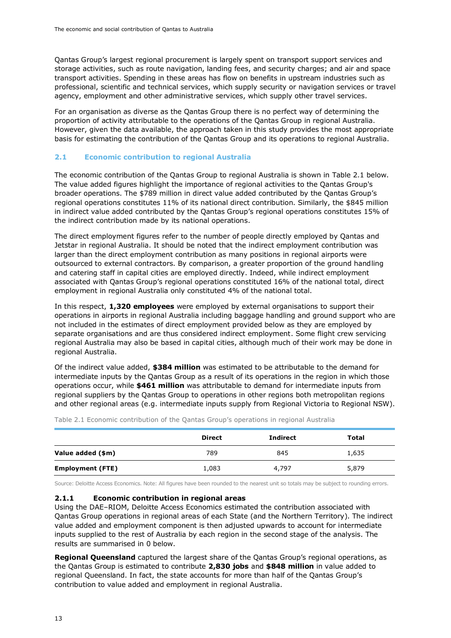Qantas Group's largest regional procurement is largely spent on transport support services and storage activities, such as route navigation, landing fees, and security charges; and air and space transport activities. Spending in these areas has flow on benefits in upstream industries such as professional, scientific and technical services, which supply security or navigation services or travel agency, employment and other administrative services, which supply other travel services.

For an organisation as diverse as the Qantas Group there is no perfect way of determining the proportion of activity attributable to the operations of the Qantas Group in regional Australia. However, given the data available, the approach taken in this study provides the most appropriate basis for estimating the contribution of the Qantas Group and its operations to regional Australia.

#### <span id="page-15-0"></span>**2.1 Economic contribution to regional Australia**

The economic contribution of the Qantas Group to regional Australia is shown in [Table 2.1](#page-15-2) below. The value added figures highlight the importance of regional activities to the Qantas Group's broader operations. The \$789 million in direct value added contributed by the Qantas Group's regional operations constitutes 11% of its national direct contribution. Similarly, the \$845 million in indirect value added contributed by the Qantas Group's regional operations constitutes 15% of the indirect contribution made by its national operations.

The direct employment figures refer to the number of people directly employed by Qantas and Jetstar in regional Australia. It should be noted that the indirect employment contribution was larger than the direct employment contribution as many positions in regional airports were outsourced to external contractors. By comparison, a greater proportion of the ground handling and catering staff in capital cities are employed directly. Indeed, while indirect employment associated with Qantas Group's regional operations constituted 16% of the national total, direct employment in regional Australia only constituted 4% of the national total.

In this respect, **1,320 employees** were employed by external organisations to support their operations in airports in regional Australia including baggage handling and ground support who are not included in the estimates of direct employment provided below as they are employed by separate organisations and are thus considered indirect employment. Some flight crew servicing regional Australia may also be based in capital cities, although much of their work may be done in regional Australia.

Of the indirect value added, **\$384 million** was estimated to be attributable to the demand for intermediate inputs by the Qantas Group as a result of its operations in the region in which those operations occur, while **\$461 million** was attributable to demand for intermediate inputs from regional suppliers by the Qantas Group to operations in other regions both metropolitan regions and other regional areas (e.g. intermediate inputs supply from Regional Victoria to Regional NSW).

|                         | <b>Direct</b> | <b>Indirect</b> | Total |
|-------------------------|---------------|-----------------|-------|
| Value added (\$m)       | 789           | 845             | 1,635 |
| <b>Employment (FTE)</b> | 1,083         | 4,797           | 5,879 |

<span id="page-15-2"></span>Table 2.1 Economic contribution of the Qantas Group's operations in regional Australia

Source: Deloitte Access Economics. Note: All figures have been rounded to the nearest unit so totals may be subject to rounding errors.

#### <span id="page-15-1"></span>**2.1.1 Economic contribution in regional areas**

Using the DAE–RIOM, Deloitte Access Economics estimated the contribution associated with Qantas Group operations in regional areas of each State (and the Northern Territory). The indirect value added and employment component is then adjusted upwards to account for intermediate inputs supplied to the rest of Australia by each region in the second stage of the analysis. The results are summarised in [0](#page-16-0) below.

**Regional Queensland** captured the largest share of the Qantas Group's regional operations, as the Qantas Group is estimated to contribute **2,830 jobs** and **\$848 million** in value added to regional Queensland. In fact, the state accounts for more than half of the Qantas Group's contribution to value added and employment in regional Australia.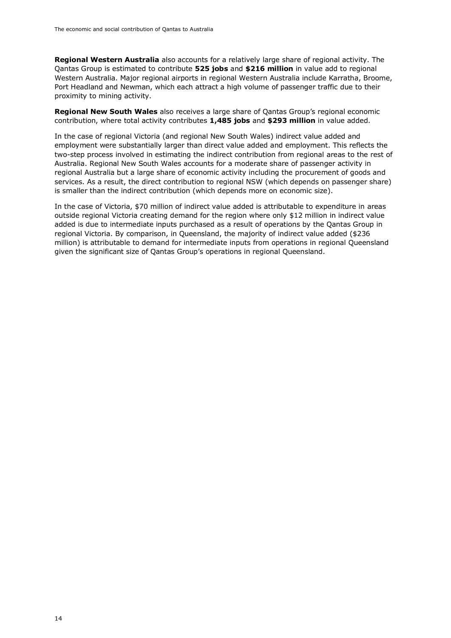**Regional Western Australia** also accounts for a relatively large share of regional activity. The Qantas Group is estimated to contribute **525 jobs** and **\$216 million** in value add to regional Western Australia. Major regional airports in regional Western Australia include Karratha, Broome, Port Headland and Newman, which each attract a high volume of passenger traffic due to their proximity to mining activity.

**Regional New South Wales** also receives a large share of Qantas Group's regional economic contribution, where total activity contributes **1,485 jobs** and **\$293 million** in value added.

In the case of regional Victoria (and regional New South Wales) indirect value added and employment were substantially larger than direct value added and employment. This reflects the two-step process involved in estimating the indirect contribution from regional areas to the rest of Australia. Regional New South Wales accounts for a moderate share of passenger activity in regional Australia but a large share of economic activity including the procurement of goods and services. As a result, the direct contribution to regional NSW (which depends on passenger share) is smaller than the indirect contribution (which depends more on economic size).

<span id="page-16-0"></span>In the case of Victoria, \$70 million of indirect value added is attributable to expenditure in areas outside regional Victoria creating demand for the region where only \$12 million in indirect value added is due to intermediate inputs purchased as a result of operations by the Qantas Group in regional Victoria. By comparison, in Queensland, the majority of indirect value added (\$236 million) is attributable to demand for intermediate inputs from operations in regional Queensland given the significant size of Qantas Group's operations in regional Queensland.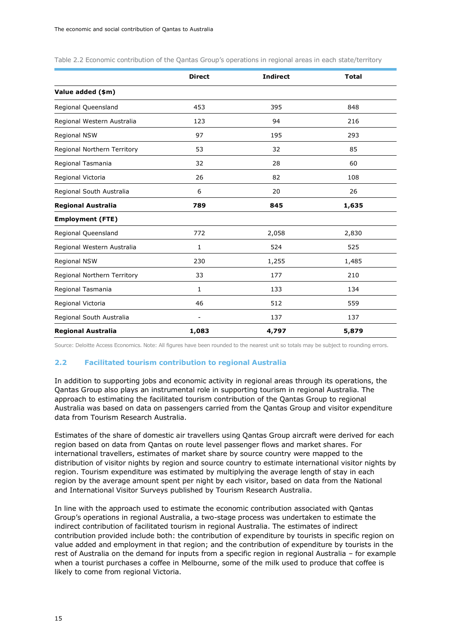|                             | <b>Direct</b>            | <b>Indirect</b> | <b>Total</b> |
|-----------------------------|--------------------------|-----------------|--------------|
| Value added (\$m)           |                          |                 |              |
| Regional Queensland         | 453                      | 395             | 848          |
| Regional Western Australia  | 123                      | 94              | 216          |
| <b>Regional NSW</b>         | 97                       | 195             | 293          |
| Regional Northern Territory | 53                       | 32              | 85           |
| Regional Tasmania           | 32                       | 28              | 60           |
| Regional Victoria           | 26                       | 82              | 108          |
| Regional South Australia    | 6                        | 20              | 26           |
| <b>Regional Australia</b>   | 789                      | 845             | 1,635        |
| <b>Employment (FTE)</b>     |                          |                 |              |
| Regional Queensland         | 772                      | 2,058           | 2,830        |
| Regional Western Australia  | 1                        | 524             | 525          |
| Regional NSW                | 230                      | 1,255           | 1,485        |
| Regional Northern Territory | 33                       | 177             | 210          |
| Regional Tasmania           | $\mathbf{1}$             | 133             | 134          |
| Regional Victoria           | 46                       | 512             | 559          |
| Regional South Australia    | $\overline{\phantom{a}}$ | 137             | 137          |
| <b>Regional Australia</b>   | 1,083                    | 4,797           | 5,879        |

<span id="page-17-1"></span>Table 2.2 Economic contribution of the Qantas Group's operations in regional areas in each state/territory

Source: Deloitte Access Economics. Note: All figures have been rounded to the nearest unit so totals may be subject to rounding errors.

#### <span id="page-17-0"></span>**2.2 Facilitated tourism contribution to regional Australia**

In addition to supporting jobs and economic activity in regional areas through its operations, the Qantas Group also plays an instrumental role in supporting tourism in regional Australia. The approach to estimating the facilitated tourism contribution of the Qantas Group to regional Australia was based on data on passengers carried from the Qantas Group and visitor expenditure data from Tourism Research Australia.

Estimates of the share of domestic air travellers using Qantas Group aircraft were derived for each region based on data from Qantas on route level passenger flows and market shares. For international travellers, estimates of market share by source country were mapped to the distribution of visitor nights by region and source country to estimate international visitor nights by region. Tourism expenditure was estimated by multiplying the average length of stay in each region by the average amount spent per night by each visitor, based on data from the National and International Visitor Surveys published by Tourism Research Australia.

In line with the approach used to estimate the economic contribution associated with Qantas Group's operations in regional Australia, a two-stage process was undertaken to estimate the indirect contribution of facilitated tourism in regional Australia. The estimates of indirect contribution provided include both: the contribution of expenditure by tourists in specific region on value added and employment in that region; and the contribution of expenditure by tourists in the rest of Australia on the demand for inputs from a specific region in regional Australia – for example when a tourist purchases a coffee in Melbourne, some of the milk used to produce that coffee is likely to come from regional Victoria.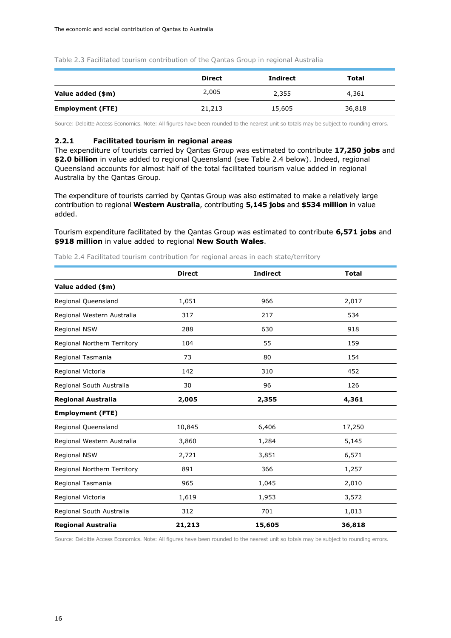<span id="page-18-1"></span>Table 2.3 Facilitated tourism contribution of the Qantas Group in regional Australia

|                         | <b>Direct</b> | <b>Indirect</b> | Total  |
|-------------------------|---------------|-----------------|--------|
| Value added (\$m)       | 2,005         | 2,355           | 4,361  |
| <b>Employment (FTE)</b> | 21,213        | 15,605          | 36,818 |

Source: Deloitte Access Economics. Note: All figures have been rounded to the nearest unit so totals may be subject to rounding errors.

#### <span id="page-18-0"></span>**2.2.1 Facilitated tourism in regional areas**

The expenditure of tourists carried by Qantas Group was estimated to contribute **17,250 jobs** and **\$2.0 billion** in value added to regional Queensland (see [Table 2.4](#page-18-2) below). Indeed, regional Queensland accounts for almost half of the total facilitated tourism value added in regional Australia by the Qantas Group.

The expenditure of tourists carried by Qantas Group was also estimated to make a relatively large contribution to regional **Western Australia**, contributing **5,145 jobs** and **\$534 million** in value added.

Tourism expenditure facilitated by the Qantas Group was estimated to contribute **6,571 jobs** and **\$918 million** in value added to regional **New South Wales**.

|                             | <b>Direct</b> | <b>Indirect</b> | <b>Total</b> |  |
|-----------------------------|---------------|-----------------|--------------|--|
| Value added (\$m)           |               |                 |              |  |
| Regional Queensland         | 1,051         | 966             | 2,017        |  |
| Regional Western Australia  | 317           | 217             | 534          |  |
| Regional NSW                | 288           | 630             | 918          |  |
| Regional Northern Territory | 104           | 55              | 159          |  |
| Regional Tasmania           | 73            | 80              | 154          |  |
| Regional Victoria           | 142           | 310             | 452          |  |
| Regional South Australia    | 30            | 96              | 126          |  |
| <b>Regional Australia</b>   | 2,005         | 2,355           | 4,361        |  |
| <b>Employment (FTE)</b>     |               |                 |              |  |
| Regional Queensland         | 10,845        | 6,406           | 17,250       |  |
| Regional Western Australia  | 3,860         | 1,284           | 5,145        |  |
| Regional NSW                | 2,721         | 3,851           | 6,571        |  |
| Regional Northern Territory | 891           | 366             | 1,257        |  |
| Regional Tasmania           | 965           | 1,045           | 2,010        |  |
| Regional Victoria           | 1,619         | 1,953           | 3,572        |  |
| Regional South Australia    | 312           | 701             | 1,013        |  |
| <b>Regional Australia</b>   | 21,213        | 15,605          | 36,818       |  |

<span id="page-18-2"></span>Table 2.4 Facilitated tourism contribution for regional areas in each state/territory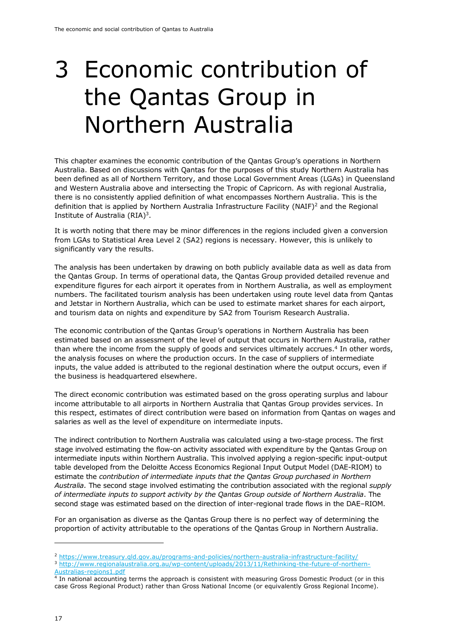### <span id="page-19-0"></span>3 Economic contribution of the Qantas Group in Northern Australia

This chapter examines the economic contribution of the Qantas Group's operations in Northern Australia. Based on discussions with Qantas for the purposes of this study Northern Australia has been defined as all of Northern Territory, and those Local Government Areas (LGAs) in Queensland and Western Australia above and intersecting the Tropic of Capricorn. As with regional Australia, there is no consistently applied definition of what encompasses Northern Australia. This is the definition that is applied by Northern Australia Infrastructure Facility (NAIF)<sup>2</sup> and the Regional Institute of Australia  $(RIA)<sup>3</sup>$ .

It is worth noting that there may be minor differences in the regions included given a conversion from LGAs to Statistical Area Level 2 (SA2) regions is necessary. However, this is unlikely to significantly vary the results.

The analysis has been undertaken by drawing on both publicly available data as well as data from the Qantas Group. In terms of operational data, the Qantas Group provided detailed revenue and expenditure figures for each airport it operates from in Northern Australia, as well as employment numbers. The facilitated tourism analysis has been undertaken using route level data from Qantas and Jetstar in Northern Australia, which can be used to estimate market shares for each airport, and tourism data on nights and expenditure by SA2 from Tourism Research Australia.

The economic contribution of the Qantas Group's operations in Northern Australia has been estimated based on an assessment of the level of output that occurs in Northern Australia, rather than where the income from the supply of goods and services ultimately accrues.<sup>4</sup> In other words, the analysis focuses on where the production occurs. In the case of suppliers of intermediate inputs, the value added is attributed to the regional destination where the output occurs, even if the business is headquartered elsewhere.

The direct economic contribution was estimated based on the gross operating surplus and labour income attributable to all airports in Northern Australia that Qantas Group provides services. In this respect, estimates of direct contribution were based on information from Qantas on wages and salaries as well as the level of expenditure on intermediate inputs.

The indirect contribution to Northern Australia was calculated using a two-stage process. The first stage involved estimating the flow-on activity associated with expenditure by the Qantas Group on intermediate inputs within Northern Australia. This involved applying a region-specific input-output table developed from the Deloitte Access Economics Regional Input Output Model (DAE-RIOM) to estimate the *contribution of intermediate inputs that the Qantas Group purchased in Northern Australia.* The second stage involved estimating the contribution associated with the regional *supply of intermediate inputs to support activity by the Qantas Group outside of Northern Australia*. The second stage was estimated based on the direction of inter-regional trade flows in the DAE–RIOM.

For an organisation as diverse as the Qantas Group there is no perfect way of determining the proportion of activity attributable to the operations of the Qantas Group in Northern Australia.

<sup>2</sup> <https://www.treasury.qld.gov.au/programs-and-policies/northern-australia-infrastructure-facility/>

<sup>3</sup> [http://www.regionalaustralia.org.au/wp-content/uploads/2013/11/Rethinking-the-future-of-northern-](http://www.regionalaustralia.org.au/wp-content/uploads/2013/11/Rethinking-the-future-of-northern-Australias-regions1.pdf)[Australias-regions1.pdf](http://www.regionalaustralia.org.au/wp-content/uploads/2013/11/Rethinking-the-future-of-northern-Australias-regions1.pdf)

<sup>4</sup> In national accounting terms the approach is consistent with measuring Gross Domestic Product (or in this case Gross Regional Product) rather than Gross National Income (or equivalently Gross Regional Income).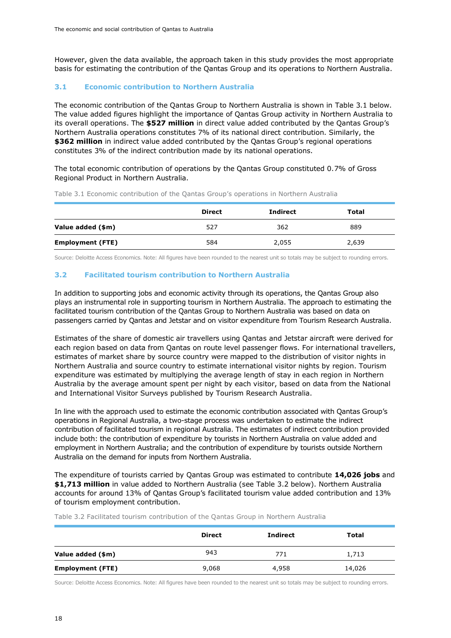However, given the data available, the approach taken in this study provides the most appropriate basis for estimating the contribution of the Qantas Group and its operations to Northern Australia.

#### <span id="page-20-0"></span>**3.1 Economic contribution to Northern Australia**

The economic contribution of the Qantas Group to Northern Australia is shown in [Table 3.1](#page-20-2) below. The value added figures highlight the importance of Qantas Group activity in Northern Australia to its overall operations. The **\$527 million** in direct value added contributed by the Qantas Group's Northern Australia operations constitutes 7% of its national direct contribution. Similarly, the **\$362 million** in indirect value added contributed by the Qantas Group's regional operations constitutes 3% of the indirect contribution made by its national operations.

The total economic contribution of operations by the Qantas Group constituted 0.7% of Gross Regional Product in Northern Australia.

|                         | <b>Direct</b> | Indirect | Total |
|-------------------------|---------------|----------|-------|
| Value added (\$m)       | 527           | 362      | 889   |
| <b>Employment (FTE)</b> | 584           | 2,055    | 2,639 |

<span id="page-20-2"></span>Table 3.1 Economic contribution of the Qantas Group's operations in Northern Australia

Source: Deloitte Access Economics. Note: All figures have been rounded to the nearest unit so totals may be subject to rounding errors.

### <span id="page-20-1"></span>**3.2 Facilitated tourism contribution to Northern Australia**

In addition to supporting jobs and economic activity through its operations, the Qantas Group also plays an instrumental role in supporting tourism in Northern Australia. The approach to estimating the facilitated tourism contribution of the Qantas Group to Northern Australia was based on data on passengers carried by Qantas and Jetstar and on visitor expenditure from Tourism Research Australia.

Estimates of the share of domestic air travellers using Qantas and Jetstar aircraft were derived for each region based on data from Qantas on route level passenger flows. For international travellers, estimates of market share by source country were mapped to the distribution of visitor nights in Northern Australia and source country to estimate international visitor nights by region. Tourism expenditure was estimated by multiplying the average length of stay in each region in Northern Australia by the average amount spent per night by each visitor, based on data from the National and International Visitor Surveys published by Tourism Research Australia.

In line with the approach used to estimate the economic contribution associated with Qantas Group's operations in Regional Australia, a two-stage process was undertaken to estimate the indirect contribution of facilitated tourism in regional Australia. The estimates of indirect contribution provided include both: the contribution of expenditure by tourists in Northern Australia on value added and employment in Northern Australia; and the contribution of expenditure by tourists outside Northern Australia on the demand for inputs from Northern Australia.

The expenditure of tourists carried by Qantas Group was estimated to contribute **14,026 jobs** and **\$1,713 million** in value added to Northern Australia (see [Table 3.2](#page-20-3) below). Northern Australia accounts for around 13% of Qantas Group's facilitated tourism value added contribution and 13% of tourism employment contribution.

<span id="page-20-3"></span>Table 3.2 Facilitated tourism contribution of the Qantas Group in Northern Australia

|                         | <b>Direct</b> | <b>Indirect</b> | Total  |
|-------------------------|---------------|-----------------|--------|
| Value added (\$m)       | 943           | 771             | 1,713  |
| <b>Employment (FTE)</b> | 9,068         | 4,958           | 14,026 |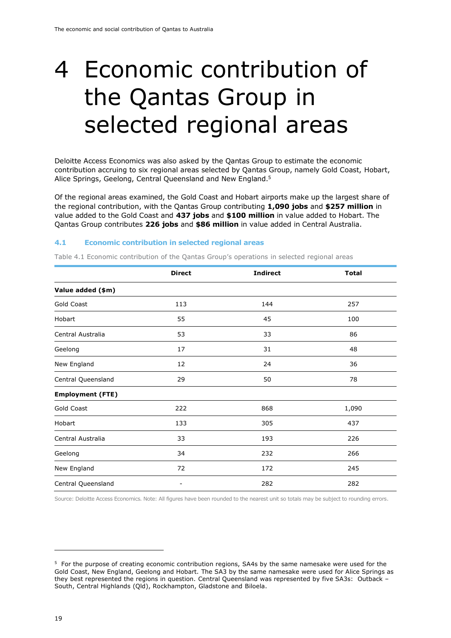# <span id="page-21-0"></span>4 Economic contribution of the Qantas Group in selected regional areas

Deloitte Access Economics was also asked by the Qantas Group to estimate the economic contribution accruing to six regional areas selected by Qantas Group, namely Gold Coast, Hobart, Alice Springs, Geelong, Central Queensland and New England.<sup>5</sup>

Of the regional areas examined, the Gold Coast and Hobart airports make up the largest share of the regional contribution, with the Qantas Group contributing **1,090 jobs** and **\$257 million** in value added to the Gold Coast and **437 jobs** and **\$100 million** in value added to Hobart. The Qantas Group contributes **226 jobs** and **\$86 million** in value added in Central Australia.

#### <span id="page-21-1"></span>**4.1 Economic contribution in selected regional areas**

|                         | <b>Direct</b>   | <b>Indirect</b> | <b>Total</b> |  |
|-------------------------|-----------------|-----------------|--------------|--|
| Value added (\$m)       |                 |                 |              |  |
| Gold Coast              | 113             | 144             | 257          |  |
| Hobart                  | 55              | 45              | 100          |  |
| Central Australia       | 53              | 33              | 86           |  |
| Geelong                 | 17              | 31              | 48           |  |
| New England             | 12              | 24              | 36           |  |
| Central Queensland      | 29              | 50              | 78           |  |
| <b>Employment (FTE)</b> |                 |                 |              |  |
| Gold Coast              | 222             | 868             | 1,090        |  |
| Hobart                  | 133             | 305             | 437          |  |
| Central Australia       | 33              | 193             | 226          |  |
| Geelong                 | 34<br>232       |                 | 266          |  |
| New England             | 72              | 172             | 245          |  |
| Central Queensland      | 282<br>282<br>- |                 |              |  |

<span id="page-21-2"></span>Table 4.1 Economic contribution of the Qantas Group's operations in selected regional areas

<sup>&</sup>lt;sup>5</sup> For the purpose of creating economic contribution regions, SA4s by the same namesake were used for the Gold Coast, New England, Geelong and Hobart. The SA3 by the same namesake were used for Alice Springs as they best represented the regions in question. Central Queensland was represented by five SA3s: Outback – South, Central Highlands (Qld), Rockhampton, Gladstone and Biloela.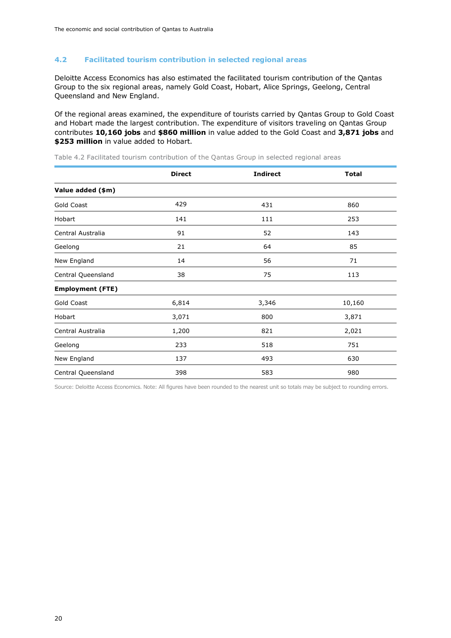#### <span id="page-22-0"></span>**4.2 Facilitated tourism contribution in selected regional areas**

Deloitte Access Economics has also estimated the facilitated tourism contribution of the Qantas Group to the six regional areas, namely Gold Coast, Hobart, Alice Springs, Geelong, Central Queensland and New England.

Of the regional areas examined, the expenditure of tourists carried by Qantas Group to Gold Coast and Hobart made the largest contribution. The expenditure of visitors traveling on Qantas Group contributes **10,160 jobs** and **\$860 million** in value added to the Gold Coast and **3,871 jobs** and **\$253 million** in value added to Hobart.

|                         | <b>Direct</b> | <b>Indirect</b> | <b>Total</b> |  |
|-------------------------|---------------|-----------------|--------------|--|
| Value added (\$m)       |               |                 |              |  |
| Gold Coast              | 429           | 431             | 860          |  |
| Hobart                  | 141           | 111             | 253          |  |
| Central Australia       | 91            | 52              | 143          |  |
| 21<br>64<br>Geelong     |               | 85              |              |  |
| New England             | 14            | 56              | 71           |  |
| Central Queensland      | 38            | 75              | 113          |  |
| <b>Employment (FTE)</b> |               |                 |              |  |
| Gold Coast              | 6,814         | 3,346           | 10,160       |  |
| Hobart                  | 3,071         | 800             | 3,871        |  |
| Central Australia       | 1,200         | 821             | 2,021        |  |
| Geelong                 | 233<br>518    |                 | 751          |  |
| New England             | 137           | 630<br>493      |              |  |
| Central Queensland      | 398<br>583    |                 | 980          |  |

<span id="page-22-1"></span>Table 4.2 Facilitated tourism contribution of the Qantas Group in selected regional areas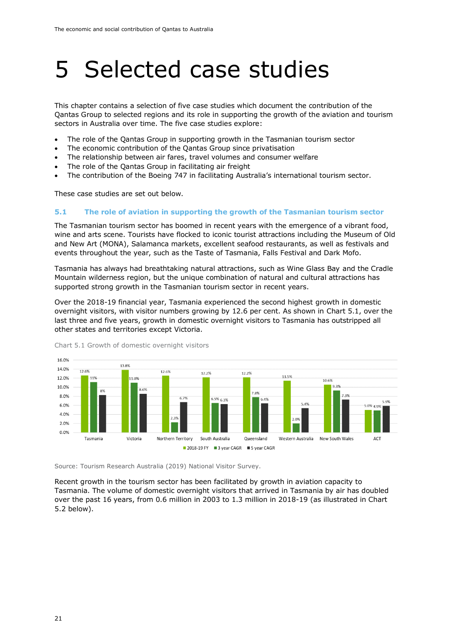### <span id="page-23-0"></span>5 Selected case studies

This chapter contains a selection of five case studies which document the contribution of the Qantas Group to selected regions and its role in supporting the growth of the aviation and tourism sectors in Australia over time. The five case studies explore:

- The role of the Qantas Group in supporting growth in the Tasmanian tourism sector
- The economic contribution of the Qantas Group since privatisation
- The relationship between air fares, travel volumes and consumer welfare
- The role of the Qantas Group in facilitating air freight
- The contribution of the Boeing 747 in facilitating Australia's international tourism sector.

These case studies are set out below.

#### <span id="page-23-1"></span>**5.1 The role of aviation in supporting the growth of the Tasmanian tourism sector**

The Tasmanian tourism sector has boomed in recent years with the emergence of a vibrant food, wine and arts scene. Tourists have flocked to iconic tourist attractions including the Museum of Old and New Art (MONA), Salamanca markets, excellent seafood restaurants, as well as festivals and events throughout the year, such as the Taste of Tasmania, Falls Festival and Dark Mofo.

Tasmania has always had breathtaking natural attractions, such as Wine Glass Bay and the Cradle Mountain wilderness region, but the unique combination of natural and cultural attractions has supported strong growth in the Tasmanian tourism sector in recent years.

Over the 2018-19 financial year, Tasmania experienced the second highest growth in domestic overnight visitors, with visitor numbers growing by 12.6 per cent. As shown in Chart 5.1, over the last three and five years, growth in domestic overnight visitors to Tasmania has outstripped all other states and territories except Victoria.



Chart 5.1 Growth of domestic overnight visitors

Source: Tourism Research Australia (2019) National Visitor Survey.

Recent growth in the tourism sector has been facilitated by growth in aviation capacity to Tasmania. The volume of domestic overnight visitors that arrived in Tasmania by air has doubled over the past 16 years, from 0.6 million in 2003 to 1.3 million in 2018-19 (as illustrated in Chart 5.2 below).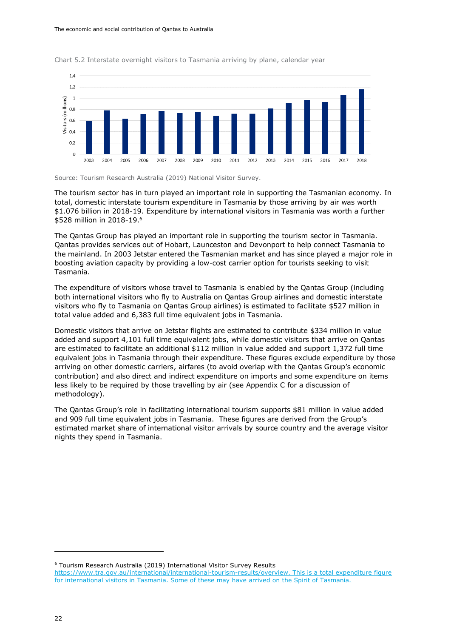

Chart 5.2 Interstate overnight visitors to Tasmania arriving by plane, calendar year



The tourism sector has in turn played an important role in supporting the Tasmanian economy. In total, domestic interstate tourism expenditure in Tasmania by those arriving by air was worth \$1.076 billion in 2018-19. Expenditure by international visitors in Tasmania was worth a further \$528 million in 2018-19.<sup>6</sup>

The Qantas Group has played an important role in supporting the tourism sector in Tasmania. Qantas provides services out of Hobart, Launceston and Devonport to help connect Tasmania to the mainland. In 2003 Jetstar entered the Tasmanian market and has since played a major role in boosting aviation capacity by providing a low-cost carrier option for tourists seeking to visit Tasmania.

The expenditure of visitors whose travel to Tasmania is enabled by the Qantas Group (including both international visitors who fly to Australia on Qantas Group airlines and domestic interstate visitors who fly to Tasmania on Qantas Group airlines) is estimated to facilitate \$527 million in total value added and 6,383 full time equivalent jobs in Tasmania.

Domestic visitors that arrive on Jetstar flights are estimated to contribute \$334 million in value added and support 4,101 full time equivalent jobs, while domestic visitors that arrive on Qantas are estimated to facilitate an additional \$112 million in value added and support 1,372 full time equivalent jobs in Tasmania through their expenditure. These figures exclude expenditure by those arriving on other domestic carriers, airfares (to avoid overlap with the Qantas Group's economic contribution) and also direct and indirect expenditure on imports and some expenditure on items less likely to be required by those travelling by air (see Appendix C for a discussion of methodology).

The Qantas Group's role in facilitating international tourism supports \$81 million in value added and 909 full time equivalent jobs in Tasmania. These figures are derived from the Group's estimated market share of international visitor arrivals by source country and the average visitor nights they spend in Tasmania.

<sup>6</sup> Tourism Research Australia (2019) International Visitor Survey Results

[https://www.tra.gov.au/international/international-tourism-results/overview.](https://www.tra.gov.au/international/international-tourism-results/overview) This is a total expenditure figure for international visitors in Tasmania. Some of these may have arrived on the Spirit of Tasmania.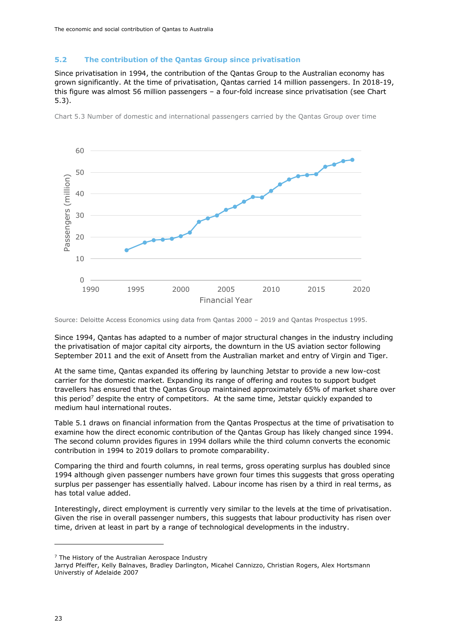#### <span id="page-25-0"></span>**5.2 The contribution of the Qantas Group since privatisation**

Since privatisation in 1994, the contribution of the Qantas Group to the Australian economy has grown significantly. At the time of privatisation, Qantas carried 14 million passengers. In 2018-19, this figure was almost 56 million passengers – a four-fold increase since privatisation (see Chart 5.3).



Chart 5.3 Number of domestic and international passengers carried by the Qantas Group over time

Source: Deloitte Access Economics using data from Qantas 2000 – 2019 and Qantas Prospectus 1995.

Since 1994, Qantas has adapted to a number of major structural changes in the industry including the privatisation of major capital city airports, the downturn in the US aviation sector following September 2011 and the exit of Ansett from the Australian market and entry of Virgin and Tiger.

At the same time, Qantas expanded its offering by launching Jetstar to provide a new low-cost carrier for the domestic market. Expanding its range of offering and routes to support budget travellers has ensured that the Qantas Group maintained approximately 65% of market share over this period<sup>7</sup> despite the entry of competitors. At the same time, Jetstar quickly expanded to medium haul international routes.

[Table 5.1](#page-26-3) draws on financial information from the Qantas Prospectus at the time of privatisation to examine how the direct economic contribution of the Qantas Group has likely changed since 1994. The second column provides figures in 1994 dollars while the third column converts the economic contribution in 1994 to 2019 dollars to promote comparability.

Comparing the third and fourth columns, in real terms, gross operating surplus has doubled since 1994 although given passenger numbers have grown four times this suggests that gross operating surplus per passenger has essentially halved. Labour income has risen by a third in real terms, as has total value added.

Interestingly, direct employment is currently very similar to the levels at the time of privatisation. Given the rise in overall passenger numbers, this suggests that labour productivity has risen over time, driven at least in part by a range of technological developments in the industry.

 $<sup>7</sup>$  The History of the Australian Aerospace Industry</sup>

Jarryd Pfeiffer, Kelly Balnaves, Bradley Darlington, Micahel Cannizzo, Christian Rogers, Alex Hortsmann Universtiy of Adelaide 2007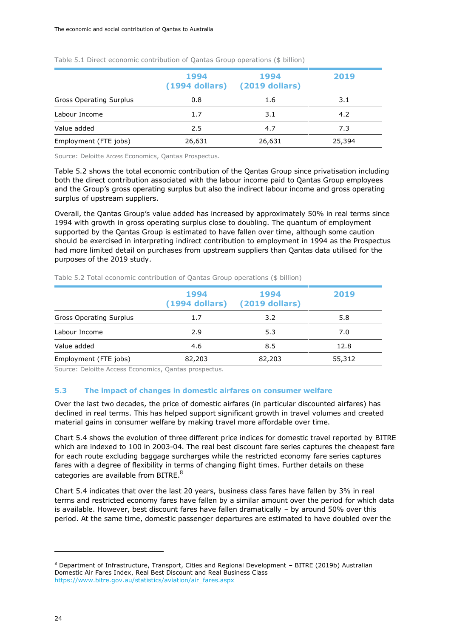|                                | 1994<br>$(1994$ dollars) | 1994<br>(2019 dollars) | 2019   |
|--------------------------------|--------------------------|------------------------|--------|
| <b>Gross Operating Surplus</b> | 0.8                      | 1.6                    | 3.1    |
| Labour Income                  | 1.7                      | 3.1                    | 4.2    |
| Value added                    | 2.5                      | 4.7                    | 7.3    |
| Employment (FTE jobs)          | 26,631                   | 26,631                 | 25,394 |

<span id="page-26-3"></span><span id="page-26-1"></span>Table 5.1 Direct economic contribution of Qantas Group operations (\$ billion)

Source: Deloitte Access Economics, Qantas Prospectus.

[Table 5.2](#page-26-4) shows the total economic contribution of the Qantas Group since privatisation including both the direct contribution associated with the labour income paid to Qantas Group employees and the Group's gross operating surplus but also the indirect labour income and gross operating surplus of upstream suppliers.

Overall, the Qantas Group's value added has increased by approximately 50% in real terms since 1994 with growth in gross operating surplus close to doubling. The quantum of employment supported by the Qantas Group is estimated to have fallen over time, although some caution should be exercised in interpreting indirect contribution to employment in 1994 as the Prospectus had more limited detail on purchases from upstream suppliers than Qantas data utilised for the purposes of the 2019 study.

<span id="page-26-4"></span><span id="page-26-2"></span>

|  |  | Table 5.2 Total economic contribution of Qantas Group operations (\$ billion) |  |  |  |  |
|--|--|-------------------------------------------------------------------------------|--|--|--|--|
|  |  |                                                                               |  |  |  |  |

|                                | 1994<br>$(1994$ dollars) | 1994<br>$(2019$ dollars) | 2019   |
|--------------------------------|--------------------------|--------------------------|--------|
| <b>Gross Operating Surplus</b> | 1.7                      | 3.2                      | 5.8    |
| Labour Income                  | 2.9                      | 5.3                      | 7.0    |
| Value added                    | 4.6                      | 8.5                      | 12.8   |
| Employment (FTE jobs)          | 82,203                   | 82,203                   | 55,312 |

Source: Deloitte Access Economics, Qantas prospectus.

#### <span id="page-26-0"></span>**5.3 The impact of changes in domestic airfares on consumer welfare**

Over the last two decades, the price of domestic airfares (in particular discounted airfares) has declined in real terms. This has helped support significant growth in travel volumes and created material gains in consumer welfare by making travel more affordable over time.

[Chart 5.4](#page-27-1) shows the evolution of three different price indices for domestic travel reported by BITRE which are indexed to 100 in 2003-04. The real best discount fare series captures the cheapest fare for each route excluding baggage surcharges while the restricted economy fare series captures fares with a degree of flexibility in terms of changing flight times. Further details on these categories are available from BITRE.<sup>8</sup>

Chart 5.4 indicates that over the last 20 years, business class fares have fallen by 3% in real terms and restricted economy fares have fallen by a similar amount over the period for which data is available. However, best discount fares have fallen dramatically – by around 50% over this period. At the same time, domestic passenger departures are estimated to have doubled over the

<sup>8</sup> Department of Infrastructure, Transport, Cities and Regional Development – BITRE (2019b) Australian Domestic Air Fares Index, Real Best Discount and Real Business Class [https://www.bitre.gov.au/statistics/aviation/air\\_fares.aspx](https://www.bitre.gov.au/statistics/aviation/air_fares.aspx)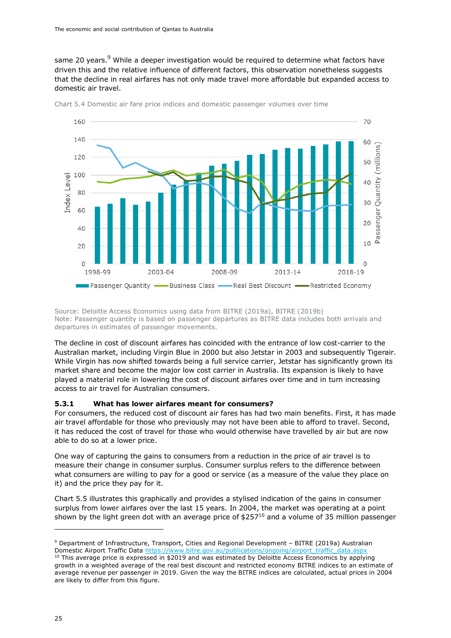same 20 years. $9$  While a deeper investigation would be required to determine what factors have driven this and the relative influence of different factors, this observation nonetheless suggests that the decline in real airfares has not only made travel more affordable but expanded access to domestic air travel.



<span id="page-27-1"></span>

Source: Deloitte Access Economics using data from BITRE (2019a), BITRE (2019b) Note: Passenger quantity is based on passenger departures as BITRE data includes both arrivals and departures in estimates of passenger movements.

The decline in cost of discount airfares has coincided with the entrance of low cost-carrier to the Australian market, including Virgin Blue in 2000 but also Jetstar in 2003 and subsequently Tigerair. While Virgin has now shifted towards being a full service carrier, Jetstar has significantly grown its market share and become the major low cost carrier in Australia. Its expansion is likely to have played a material role in lowering the cost of discount airfares over time and in turn increasing access to air travel for Australian consumers.

#### <span id="page-27-0"></span>**5.3.1 What has lower airfares meant for consumers?**

For consumers, the reduced cost of discount air fares has had two main benefits. First, it has made air travel affordable for those who previously may not have been able to afford to travel. Second, it has reduced the cost of travel for those who would otherwise have travelled by air but are now able to do so at a lower price.

One way of capturing the gains to consumers from a reduction in the price of air travel is to measure their change in consumer surplus. Consumer surplus refers to the difference between what consumers are willing to pay for a good or service (as a measure of the value they place on it) and the price they pay for it.

Chart 5.5 illustrates this graphically and provides a stylised indication of the gains in consumer surplus from lower airfares over the last 15 years. In 2004, the market was operating at a point shown by the light green dot with an average price of  $$257^{10}$  and a volume of 35 million passenger

<sup>9</sup> Department of Infrastructure, Transport, Cities and Regional Development – BITRE (2019a) Australian Domestic Airport Traffic Data [https://www.bitre.gov.au/publications/ongoing/airport\\_traffic\\_data.aspx](https://www.bitre.gov.au/publications/ongoing/airport_traffic_data.aspx)

 $10$  This average price is expressed in \$2019 and was estimated by Deloitte Access Economics by applying growth in a weighted average of the real best discount and restricted economy BITRE indices to an estimate of average revenue per passenger in 2019. Given the way the BITRE indices are calculated, actual prices in 2004 are likely to differ from this figure.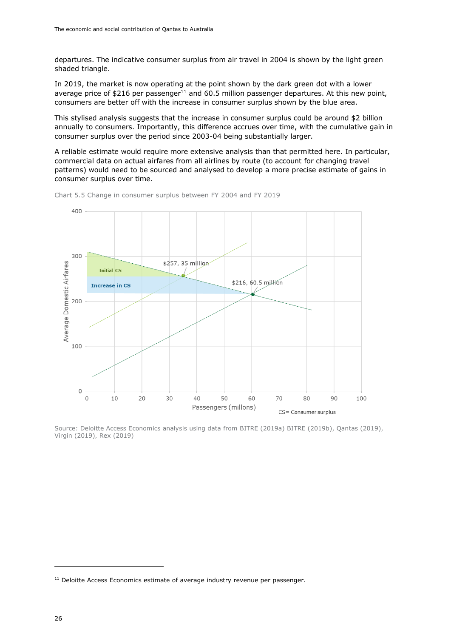departures. The indicative consumer surplus from air travel in 2004 is shown by the light green shaded triangle.

In 2019, the market is now operating at the point shown by the dark green dot with a lower average price of  $$216$  per passenger<sup>11</sup> and 60.5 million passenger departures. At this new point, consumers are better off with the increase in consumer surplus shown by the blue area.

This stylised analysis suggests that the increase in consumer surplus could be around \$2 billion annually to consumers. Importantly, this difference accrues over time, with the cumulative gain in consumer surplus over the period since 2003-04 being substantially larger.

A reliable estimate would require more extensive analysis than that permitted here. In particular, commercial data on actual airfares from all airlines by route (to account for changing travel patterns) would need to be sourced and analysed to develop a more precise estimate of gains in consumer surplus over time.



Chart 5.5 Change in consumer surplus between FY 2004 and FY 2019

Source: Deloitte Access Economics analysis using data from BITRE (2019a) BITRE (2019b), Qantas (2019), Virgin (2019), Rex (2019)

 $11$  Deloitte Access Economics estimate of average industry revenue per passenger.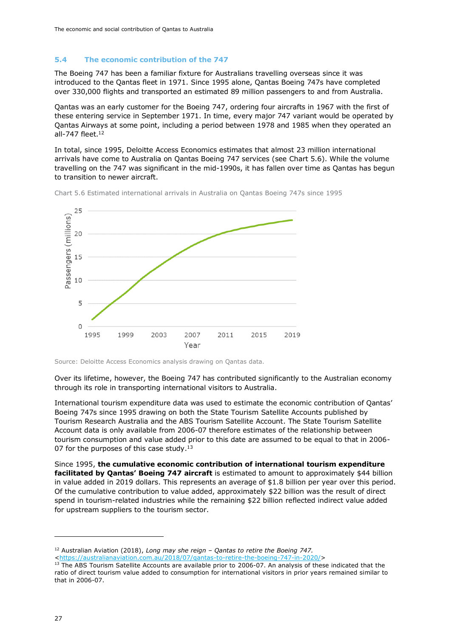#### <span id="page-29-0"></span>**5.4 The economic contribution of the 747**

The Boeing 747 has been a familiar fixture for Australians travelling overseas since it was introduced to the Qantas fleet in 1971. Since 1995 alone, Qantas Boeing 747s have completed over 330,000 flights and transported an estimated 89 million passengers to and from Australia.

Qantas was an early customer for the Boeing 747, ordering four aircrafts in 1967 with the first of these entering service in September 1971. In time, every major 747 variant would be operated by Qantas Airways at some point, including a period between 1978 and 1985 when they operated an all-747 fleet.<sup>12</sup>

In total, since 1995, Deloitte Access Economics estimates that almost 23 million international arrivals have come to Australia on Qantas Boeing 747 services (see [Chart 5.6\)](#page-29-1). While the volume travelling on the 747 was significant in the mid-1990s, it has fallen over time as Qantas has begun to transition to newer aircraft.



<span id="page-29-1"></span>Chart 5.6 Estimated international arrivals in Australia on Qantas Boeing 747s since 1995

Source: Deloitte Access Economics analysis drawing on Qantas data.

Over its lifetime, however, the Boeing 747 has contributed significantly to the Australian economy through its role in transporting international visitors to Australia.

International tourism expenditure data was used to estimate the economic contribution of Qantas' Boeing 747s since 1995 drawing on both the State Tourism Satellite Accounts published by Tourism Research Australia and the ABS Tourism Satellite Account. The State Tourism Satellite Account data is only available from 2006-07 therefore estimates of the relationship between tourism consumption and value added prior to this date are assumed to be equal to that in 2006- 07 for the purposes of this case study. $13$ 

Since 1995, **the cumulative economic contribution of international tourism expenditure facilitated by Qantas' Boeing 747 aircraft** is estimated to amount to approximately \$44 billion in value added in 2019 dollars. This represents an average of \$1.8 billion per year over this period. Of the cumulative contribution to value added, approximately \$22 billion was the result of direct spend in tourism-related industries while the remaining \$22 billion reflected indirect value added for upstream suppliers to the tourism sector.

<sup>12</sup> Australian Aviation (2018), *Long may she reign – Qantas to retire the Boeing 747.*

[<sup>&</sup>lt;https://australianaviation.com.au/2018/07/qantas-to-retire-the-boeing-747-in-2020/>](https://australianaviation.com.au/2018/07/qantas-to-retire-the-boeing-747-in-2020/)

<sup>&</sup>lt;sup>13</sup> The ABS Tourism Satellite Accounts are available prior to 2006-07. An analysis of these indicated that the ratio of direct tourism value added to consumption for international visitors in prior years remained similar to that in 2006-07.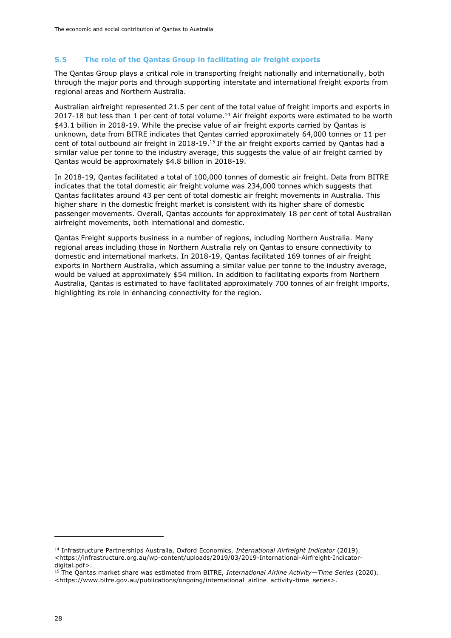### <span id="page-30-0"></span>**5.5 The role of the Qantas Group in facilitating air freight exports**

The Qantas Group plays a critical role in transporting freight nationally and internationally, both through the major ports and through supporting interstate and international freight exports from regional areas and Northern Australia.

Australian airfreight represented 21.5 per cent of the total value of freight imports and exports in 2017-18 but less than 1 per cent of total volume.<sup>14</sup> Air freight exports were estimated to be worth \$43.1 billion in 2018-19. While the precise value of air freight exports carried by Qantas is unknown, data from BITRE indicates that Qantas carried approximately 64,000 tonnes or 11 per cent of total outbound air freight in 2018-19.<sup>15</sup> If the air freight exports carried by Qantas had a similar value per tonne to the industry average, this suggests the value of air freight carried by Qantas would be approximately \$4.8 billion in 2018-19.

In 2018-19, Qantas facilitated a total of 100,000 tonnes of domestic air freight. Data from BITRE indicates that the total domestic air freight volume was 234,000 tonnes which suggests that Qantas facilitates around 43 per cent of total domestic air freight movements in Australia. This higher share in the domestic freight market is consistent with its higher share of domestic passenger movements. Overall, Qantas accounts for approximately 18 per cent of total Australian airfreight movements, both international and domestic.

Qantas Freight supports business in a number of regions, including Northern Australia. Many regional areas including those in Northern Australia rely on Qantas to ensure connectivity to domestic and international markets. In 2018-19, Qantas facilitated 169 tonnes of air freight exports in Northern Australia, which assuming a similar value per tonne to the industry average, would be valued at approximately \$54 million. In addition to facilitating exports from Northern Australia, Qantas is estimated to have facilitated approximately 700 tonnes of air freight imports, highlighting its role in enhancing connectivity for the region.

<sup>14</sup> Infrastructure Partnerships Australia, Oxford Economics, *International Airfreight Indicator* (2019). <https://infrastructure.org.au/wp-content/uploads/2019/03/2019-International-Airfreight-Indicatordigital.pdf>.

<sup>15</sup> The Qantas market share was estimated from BITRE, *International Airline Activity—Time Series* (2020). <https://www.bitre.gov.au/publications/ongoing/international\_airline\_activity-time\_series>.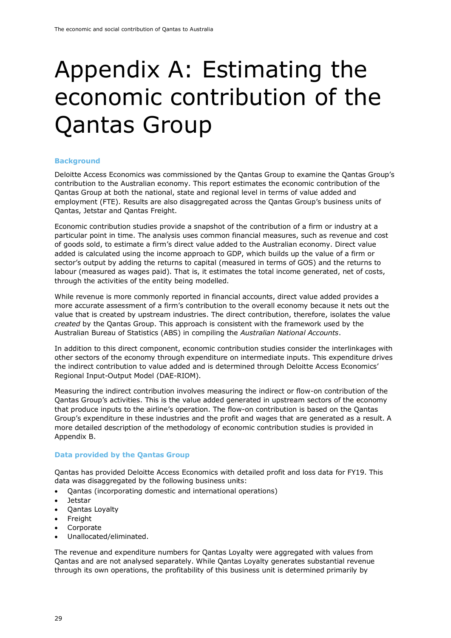# <span id="page-31-0"></span>Appendix A: Estimating the economic contribution of the Qantas Group

#### **Background**

Deloitte Access Economics was commissioned by the Qantas Group to examine the Qantas Group's contribution to the Australian economy. This report estimates the economic contribution of the Qantas Group at both the national, state and regional level in terms of value added and employment (FTE). Results are also disaggregated across the Qantas Group's business units of Qantas, Jetstar and Qantas Freight.

Economic contribution studies provide a snapshot of the contribution of a firm or industry at a particular point in time. The analysis uses common financial measures, such as revenue and cost of goods sold, to estimate a firm's direct value added to the Australian economy. Direct value added is calculated using the income approach to GDP, which builds up the value of a firm or sector's output by adding the returns to capital (measured in terms of GOS) and the returns to labour (measured as wages paid). That is, it estimates the total income generated, net of costs, through the activities of the entity being modelled.

While revenue is more commonly reported in financial accounts, direct value added provides a more accurate assessment of a firm's contribution to the overall economy because it nets out the value that is created by upstream industries. The direct contribution, therefore, isolates the value *created* by the Qantas Group. This approach is consistent with the framework used by the Australian Bureau of Statistics (ABS) in compiling the *Australian National Accounts*.

In addition to this direct component, economic contribution studies consider the interlinkages with other sectors of the economy through expenditure on intermediate inputs. This expenditure drives the indirect contribution to value added and is determined through Deloitte Access Economics' Regional Input-Output Model (DAE-RIOM).

Measuring the indirect contribution involves measuring the indirect or flow-on contribution of the Qantas Group's activities. This is the value added generated in upstream sectors of the economy that produce inputs to the airline's operation. The flow-on contribution is based on the Qantas Group's expenditure in these industries and the profit and wages that are generated as a result. A more detailed description of the methodology of economic contribution studies is provided in Appendix B.

#### **Data provided by the Qantas Group**

Qantas has provided Deloitte Access Economics with detailed profit and loss data for FY19. This data was disaggregated by the following business units:

- Qantas (incorporating domestic and international operations)
- Jetstar
- Qantas Loyalty
- Freight
- Corporate
- Unallocated/eliminated.

The revenue and expenditure numbers for Qantas Loyalty were aggregated with values from Qantas and are not analysed separately. While Qantas Loyalty generates substantial revenue through its own operations, the profitability of this business unit is determined primarily by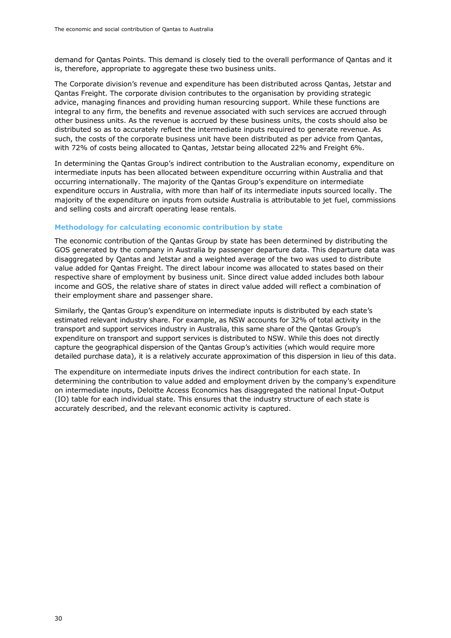demand for Qantas Points. This demand is closely tied to the overall performance of Qantas and it is, therefore, appropriate to aggregate these two business units.

The Corporate division's revenue and expenditure has been distributed across Qantas, Jetstar and Qantas Freight. The corporate division contributes to the organisation by providing strategic advice, managing finances and providing human resourcing support. While these functions are integral to any firm, the benefits and revenue associated with such services are accrued through other business units. As the revenue is accrued by these business units, the costs should also be distributed so as to accurately reflect the intermediate inputs required to generate revenue. As such, the costs of the corporate business unit have been distributed as per advice from Qantas, with 72% of costs being allocated to Qantas, Jetstar being allocated 22% and Freight 6%.

In determining the Qantas Group's indirect contribution to the Australian economy, expenditure on intermediate inputs has been allocated between expenditure occurring within Australia and that occurring internationally. The majority of the Qantas Group's expenditure on intermediate expenditure occurs in Australia, with more than half of its intermediate inputs sourced locally. The majority of the expenditure on inputs from outside Australia is attributable to jet fuel, commissions and selling costs and aircraft operating lease rentals.

#### **Methodology for calculating economic contribution by state**

The economic contribution of the Qantas Group by state has been determined by distributing the GOS generated by the company in Australia by passenger departure data. This departure data was disaggregated by Qantas and Jetstar and a weighted average of the two was used to distribute value added for Qantas Freight. The direct labour income was allocated to states based on their respective share of employment by business unit. Since direct value added includes both labour income and GOS, the relative share of states in direct value added will reflect a combination of their employment share and passenger share.

Similarly, the Qantas Group's expenditure on intermediate inputs is distributed by each state's estimated relevant industry share. For example, as NSW accounts for 32% of total activity in the transport and support services industry in Australia, this same share of the Qantas Group's expenditure on transport and support services is distributed to NSW. While this does not directly capture the geographical dispersion of the Qantas Group's activities (which would require more detailed purchase data), it is a relatively accurate approximation of this dispersion in lieu of this data.

The expenditure on intermediate inputs drives the indirect contribution for each state. In determining the contribution to value added and employment driven by the company's expenditure on intermediate inputs, Deloitte Access Economics has disaggregated the national Input-Output (IO) table for each individual state. This ensures that the industry structure of each state is accurately described, and the relevant economic activity is captured.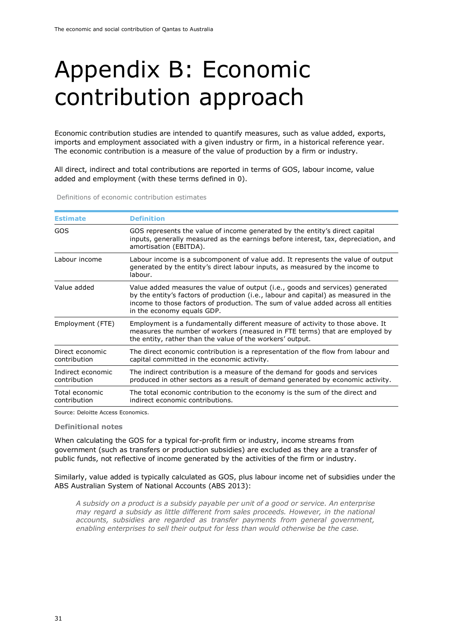# <span id="page-33-0"></span>Appendix B: Economic contribution approach

Economic contribution studies are intended to quantify measures, such as value added, exports, imports and employment associated with a given industry or firm, in a historical reference year. The economic contribution is a measure of the value of production by a firm or industry.

All direct, indirect and total contributions are reported in terms of GOS, labour income, value added and employment (with these terms defined in [0\)](#page-33-2).

<span id="page-33-2"></span><span id="page-33-1"></span>Definitions of economic contribution estimates

| <b>Estimate</b>                   | <b>Definition</b>                                                                                                                                                                                                                                                                       |
|-----------------------------------|-----------------------------------------------------------------------------------------------------------------------------------------------------------------------------------------------------------------------------------------------------------------------------------------|
| GOS                               | GOS represents the value of income generated by the entity's direct capital<br>inputs, generally measured as the earnings before interest, tax, depreciation, and<br>amortisation (EBITDA).                                                                                             |
| Labour income                     | Labour income is a subcomponent of value add. It represents the value of output<br>generated by the entity's direct labour inputs, as measured by the income to<br>labour.                                                                                                              |
| Value added                       | Value added measures the value of output (i.e., goods and services) generated<br>by the entity's factors of production (i.e., labour and capital) as measured in the<br>income to those factors of production. The sum of value added across all entities<br>in the economy equals GDP. |
| Employment (FTE)                  | Employment is a fundamentally different measure of activity to those above. It<br>measures the number of workers (measured in FTE terms) that are employed by<br>the entity, rather than the value of the workers' output.                                                              |
| Direct economic<br>contribution   | The direct economic contribution is a representation of the flow from labour and<br>capital committed in the economic activity.                                                                                                                                                         |
| Indirect economic<br>contribution | The indirect contribution is a measure of the demand for goods and services<br>produced in other sectors as a result of demand generated by economic activity.                                                                                                                          |
| Total economic<br>contribution    | The total economic contribution to the economy is the sum of the direct and<br>indirect economic contributions.                                                                                                                                                                         |

Source: Deloitte Access Economics.

#### **Definitional notes**

When calculating the GOS for a typical for-profit firm or industry, income streams from government (such as transfers or production subsidies) are excluded as they are a transfer of public funds, not reflective of income generated by the activities of the firm or industry.

Similarly, value added is typically calculated as GOS, plus labour income net of subsidies under the ABS Australian System of National Accounts (ABS 2013):

*A subsidy on a product is a subsidy payable per unit of a good or service. An enterprise may regard a subsidy as little different from sales proceeds. However, in the national accounts, subsidies are regarded as transfer payments from general government, enabling enterprises to sell their output for less than would otherwise be the case.*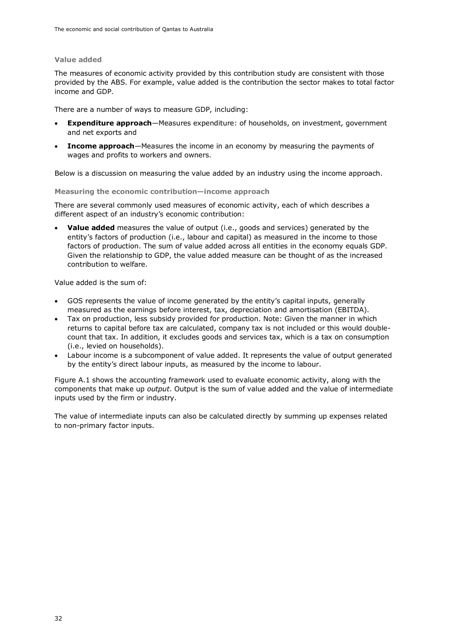#### **Value added**

The measures of economic activity provided by this contribution study are consistent with those provided by the ABS. For example, value added is the contribution the sector makes to total factor income and GDP.

There are a number of ways to measure GDP, including:

- **Expenditure approach**—Measures expenditure: of households, on investment, government and net exports and
- **Income approach**—Measures the income in an economy by measuring the payments of wages and profits to workers and owners.

Below is a discussion on measuring the value added by an industry using the income approach.

**Measuring the economic contribution—income approach**

There are several commonly used measures of economic activity, each of which describes a different aspect of an industry's economic contribution:

• **Value added** measures the value of output (i.e., goods and services) generated by the entity's factors of production (i.e., labour and capital) as measured in the income to those factors of production. The sum of value added across all entities in the economy equals GDP. Given the relationship to GDP, the value added measure can be thought of as the increased contribution to welfare.

Value added is the sum of:

- GOS represents the value of income generated by the entity's capital inputs, generally measured as the earnings before interest, tax, depreciation and amortisation (EBITDA).
- Tax on production, less subsidy provided for production. Note: Given the manner in which returns to capital before tax are calculated, company tax is not included or this would doublecount that tax. In addition, it excludes goods and services tax, which is a tax on consumption (i.e., levied on households).
- Labour income is a subcomponent of value added. It represents the value of output generated by the entity's direct labour inputs, as measured by the income to labour.

Figure A.1 shows the accounting framework used to evaluate economic activity, along with the components that make up *output*. Output is the sum of value added and the value of intermediate inputs used by the firm or industry.

The value of intermediate inputs can also be calculated directly by summing up expenses related to non-primary factor inputs.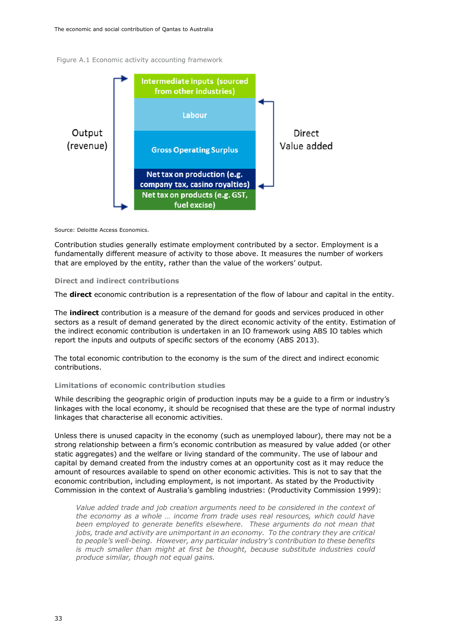<span id="page-35-0"></span>Figure A.1 Economic activity accounting framework



Source: Deloitte Access Economics.

Contribution studies generally estimate employment contributed by a sector. Employment is a fundamentally different measure of activity to those above. It measures the number of workers that are employed by the entity, rather than the value of the workers' output.

#### **Direct and indirect contributions**

The **direct** economic contribution is a representation of the flow of labour and capital in the entity.

The **indirect** contribution is a measure of the demand for goods and services produced in other sectors as a result of demand generated by the direct economic activity of the entity. Estimation of the indirect economic contribution is undertaken in an IO framework using ABS IO tables which report the inputs and outputs of specific sectors of the economy (ABS 2013).

The total economic contribution to the economy is the sum of the direct and indirect economic contributions.

#### **Limitations of economic contribution studies**

While describing the geographic origin of production inputs may be a guide to a firm or industry's linkages with the local economy, it should be recognised that these are the type of normal industry linkages that characterise all economic activities.

Unless there is unused capacity in the economy (such as unemployed labour), there may not be a strong relationship between a firm's economic contribution as measured by value added (or other static aggregates) and the welfare or living standard of the community. The use of labour and capital by demand created from the industry comes at an opportunity cost as it may reduce the amount of resources available to spend on other economic activities. This is not to say that the economic contribution, including employment, is not important. As stated by the Productivity Commission in the context of Australia's gambling industries: (Productivity Commission 1999):

*Value added trade and job creation arguments need to be considered in the context of the economy as a whole … income from trade uses real resources, which could have been employed to generate benefits elsewhere. These arguments do not mean that jobs, trade and activity are unimportant in an economy. To the contrary they are critical to people's well-being. However, any particular industry's contribution to these benefits is much smaller than might at first be thought, because substitute industries could produce similar, though not equal gains.*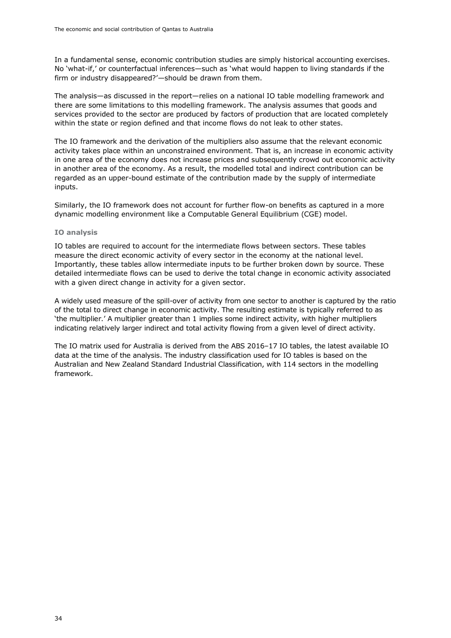In a fundamental sense, economic contribution studies are simply historical accounting exercises. No 'what-if,' or counterfactual inferences—such as 'what would happen to living standards if the firm or industry disappeared?'—should be drawn from them.

The analysis—as discussed in the report—relies on a national IO table modelling framework and there are some limitations to this modelling framework. The analysis assumes that goods and services provided to the sector are produced by factors of production that are located completely within the state or region defined and that income flows do not leak to other states.

The IO framework and the derivation of the multipliers also assume that the relevant economic activity takes place within an unconstrained environment. That is, an increase in economic activity in one area of the economy does not increase prices and subsequently crowd out economic activity in another area of the economy. As a result, the modelled total and indirect contribution can be regarded as an upper-bound estimate of the contribution made by the supply of intermediate inputs.

Similarly, the IO framework does not account for further flow-on benefits as captured in a more dynamic modelling environment like a Computable General Equilibrium (CGE) model.

#### **IO analysis**

IO tables are required to account for the intermediate flows between sectors. These tables measure the direct economic activity of every sector in the economy at the national level. Importantly, these tables allow intermediate inputs to be further broken down by source. These detailed intermediate flows can be used to derive the total change in economic activity associated with a given direct change in activity for a given sector.

A widely used measure of the spill-over of activity from one sector to another is captured by the ratio of the total to direct change in economic activity. The resulting estimate is typically referred to as 'the multiplier.' A multiplier greater than 1 implies some indirect activity, with higher multipliers indicating relatively larger indirect and total activity flowing from a given level of direct activity.

The IO matrix used for Australia is derived from the ABS 2016–17 IO tables, the latest available IO data at the time of the analysis. The industry classification used for IO tables is based on the Australian and New Zealand Standard Industrial Classification, with 114 sectors in the modelling framework.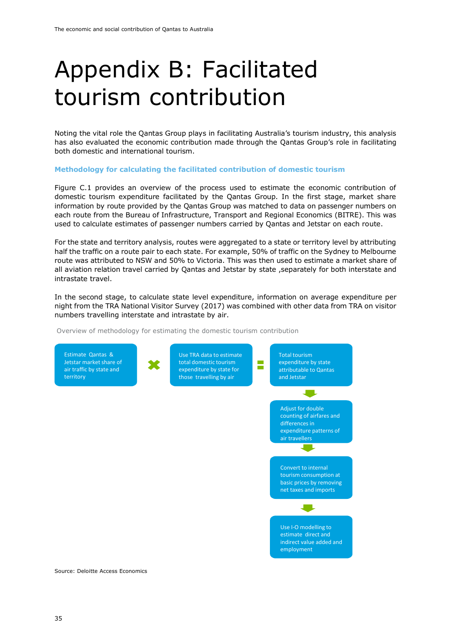### <span id="page-37-0"></span>Appendix B: Facilitated tourism contribution

Noting the vital role the Qantas Group plays in facilitating Australia's tourism industry, this analysis has also evaluated the economic contribution made through the Qantas Group's role in facilitating both domestic and international tourism.

#### **Methodology for calculating the facilitated contribution of domestic tourism**

Figure C.1 provides an overview of the process used to estimate the economic contribution of domestic tourism expenditure facilitated by the Qantas Group. In the first stage, market share information by route provided by the Qantas Group was matched to data on passenger numbers on each route from the Bureau of Infrastructure, Transport and Regional Economics (BITRE). This was used to calculate estimates of passenger numbers carried by Qantas and Jetstar on each route.

For the state and territory analysis, routes were aggregated to a state or territory level by attributing half the traffic on a route pair to each state. For example, 50% of traffic on the Sydney to Melbourne route was attributed to NSW and 50% to Victoria. This was then used to estimate a market share of all aviation relation travel carried by Qantas and Jetstar by state ,separately for both interstate and intrastate travel.

In the second stage, to calculate state level expenditure, information on average expenditure per night from the TRA National Visitor Survey (2017) was combined with other data from TRA on visitor numbers travelling interstate and intrastate by air.

<span id="page-37-1"></span>Overview of methodology for estimating the domestic tourism contribution



Source: Deloitte Access Economics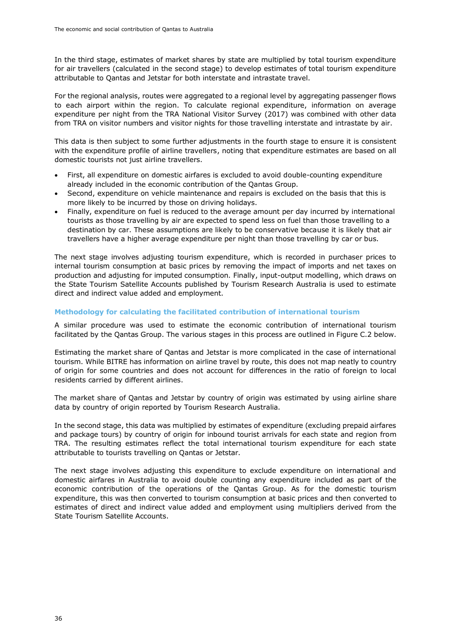In the third stage, estimates of market shares by state are multiplied by total tourism expenditure for air travellers (calculated in the second stage) to develop estimates of total tourism expenditure attributable to Qantas and Jetstar for both interstate and intrastate travel.

For the regional analysis, routes were aggregated to a regional level by aggregating passenger flows to each airport within the region. To calculate regional expenditure, information on average expenditure per night from the TRA National Visitor Survey (2017) was combined with other data from TRA on visitor numbers and visitor nights for those travelling interstate and intrastate by air.

This data is then subject to some further adjustments in the fourth stage to ensure it is consistent with the expenditure profile of airline travellers, noting that expenditure estimates are based on all domestic tourists not just airline travellers.

- First, all expenditure on domestic airfares is excluded to avoid double-counting expenditure already included in the economic contribution of the Qantas Group.
- Second, expenditure on vehicle maintenance and repairs is excluded on the basis that this is more likely to be incurred by those on driving holidays.
- Finally, expenditure on fuel is reduced to the average amount per day incurred by international tourists as those travelling by air are expected to spend less on fuel than those travelling to a destination by car. These assumptions are likely to be conservative because it is likely that air travellers have a higher average expenditure per night than those travelling by car or bus.

The next stage involves adjusting tourism expenditure, which is recorded in purchaser prices to internal tourism consumption at basic prices by removing the impact of imports and net taxes on production and adjusting for imputed consumption. Finally, input-output modelling, which draws on the State Tourism Satellite Accounts published by Tourism Research Australia is used to estimate direct and indirect value added and employment.

#### **Methodology for calculating the facilitated contribution of international tourism**

A similar procedure was used to estimate the economic contribution of international tourism facilitated by the Qantas Group. The various stages in this process are outlined in Figure C.2 below.

Estimating the market share of Qantas and Jetstar is more complicated in the case of international tourism. While BITRE has information on airline travel by route, this does not map neatly to country of origin for some countries and does not account for differences in the ratio of foreign to local residents carried by different airlines.

The market share of Qantas and Jetstar by country of origin was estimated by using airline share data by country of origin reported by Tourism Research Australia.

In the second stage, this data was multiplied by estimates of expenditure (excluding prepaid airfares and package tours) by country of origin for inbound tourist arrivals for each state and region from TRA. The resulting estimates reflect the total international tourism expenditure for each state attributable to tourists travelling on Qantas or Jetstar.

The next stage involves adjusting this expenditure to exclude expenditure on international and domestic airfares in Australia to avoid double counting any expenditure included as part of the economic contribution of the operations of the Qantas Group. As for the domestic tourism expenditure, this was then converted to tourism consumption at basic prices and then converted to estimates of direct and indirect value added and employment using multipliers derived from the State Tourism Satellite Accounts.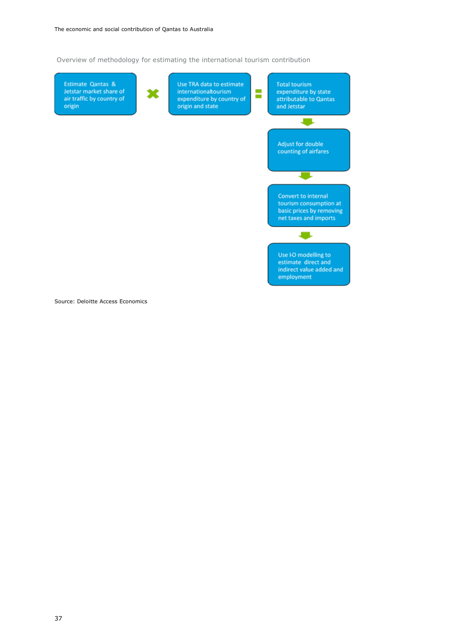<span id="page-39-0"></span>Overview of methodology for estimating the international tourism contribution



Source: Deloitte Access Economics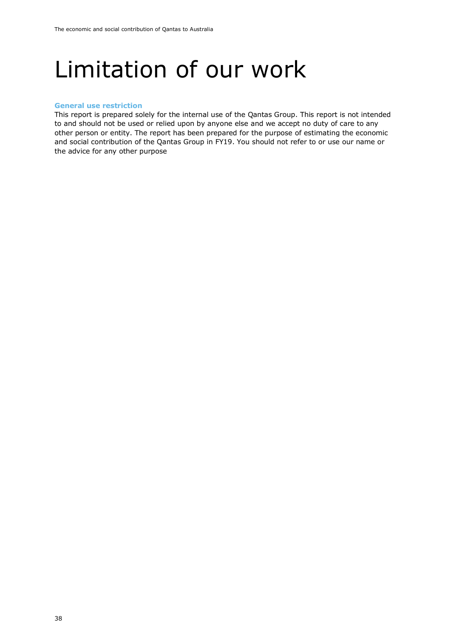### <span id="page-40-0"></span>Limitation of our work

#### <span id="page-40-1"></span>**General use restriction**

This report is prepared solely for the internal use of the Qantas Group. This report is not intended to and should not be used or relied upon by anyone else and we accept no duty of care to any other person or entity. The report has been prepared for the purpose of estimating the economic and social contribution of the Qantas Group in FY19. You should not refer to or use our name or the advice for any other purpose